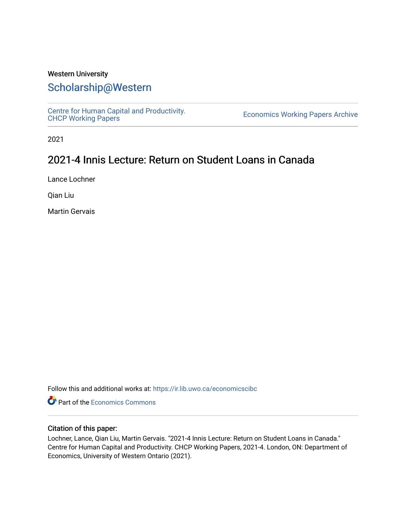#### Western University

## [Scholarship@Western](https://ir.lib.uwo.ca/)

[Centre for Human Capital and Productivity.](https://ir.lib.uwo.ca/economicscibc) 

Economics Working Papers Archive

2021

# 2021-4 Innis Lecture: Return on Student Loans in Canada

Lance Lochner

Qian Liu

Martin Gervais

Follow this and additional works at: [https://ir.lib.uwo.ca/economicscibc](https://ir.lib.uwo.ca/economicscibc?utm_source=ir.lib.uwo.ca%2Feconomicscibc%2F162&utm_medium=PDF&utm_campaign=PDFCoverPages) 

**P** Part of the [Economics Commons](http://network.bepress.com/hgg/discipline/340?utm_source=ir.lib.uwo.ca%2Feconomicscibc%2F162&utm_medium=PDF&utm_campaign=PDFCoverPages)

#### Citation of this paper:

Lochner, Lance, Qian Liu, Martin Gervais. "2021-4 Innis Lecture: Return on Student Loans in Canada." Centre for Human Capital and Productivity. CHCP Working Papers, 2021-4. London, ON: Department of Economics, University of Western Ontario (2021).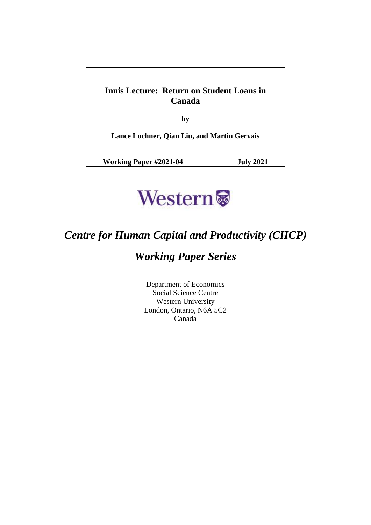**Innis Lecture: Return on Student Loans in Canada**

**by**

**Lance Lochner, Qian Liu, and Martin Gervais**

**Working Paper #2021-04 July 2021**



# *Centre for Human Capital and Productivity (CHCP)*

# *Working Paper Series*

Department of Economics Social Science Centre Western University London, Ontario, N6A 5C2 Canada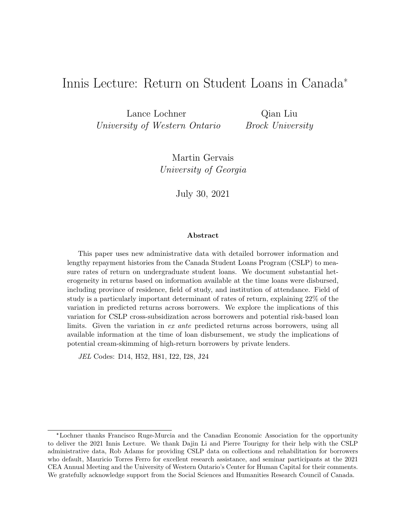# <span id="page-2-0"></span>Innis Lecture: Return on Student Loans in Canada\*

Lance Lochner University of Western Ontario

Qian Liu Brock University

Martin Gervais University of Georgia

July 30, 2021

#### Abstract

This paper uses new administrative data with detailed borrower information and lengthy repayment histories from the Canada Student Loans Program (CSLP) to measure rates of return on undergraduate student loans. We document substantial heterogeneity in returns based on information available at the time loans were disbursed, including province of residence, field of study, and institution of attendance. Field of study is a particularly important determinant of rates of return, explaining 22% of the variation in predicted returns across borrowers. We explore the implications of this variation for CSLP cross-subsidization across borrowers and potential risk-based loan limits. Given the variation in ex ante predicted returns across borrowers, using all available information at the time of loan disbursement, we study the implications of potential cream-skimming of high-return borrowers by private lenders.

JEL Codes: D14, H52, H81, I22, I28, J24

<sup>\*</sup>Lochner thanks Francisco Ruge-Murcia and the Canadian Economic Association for the opportunity to deliver the 2021 Innis Lecture. We thank Dajin Li and Pierre Tourigny for their help with the CSLP administrative data, Rob Adams for providing CSLP data on collections and rehabilitation for borrowers who default, Mauricio Torres Ferro for excellent research assistance, and seminar participants at the 2021 CEA Annual Meeting and the University of Western Ontario's Center for Human Capital for their comments. We gratefully acknowledge support from the Social Sciences and Humanities Research Council of Canada.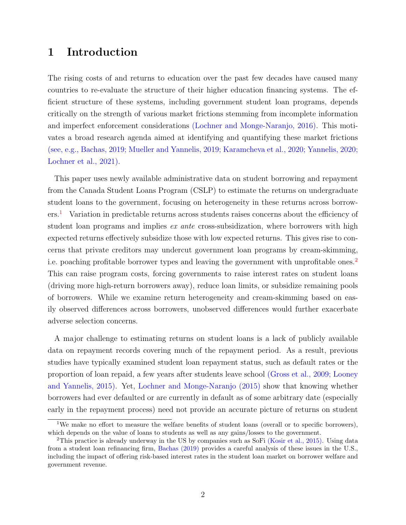## 1 Introduction

The rising costs of and returns to education over the past few decades have caused many countries to re-evaluate the structure of their higher education financing systems. The efficient structure of these systems, including government student loan programs, depends critically on the strength of various market frictions stemming from incomplete information and imperfect enforcement considerations [\(Lochner and Monge-Naranjo,](#page-31-0) [2016\)](#page-31-0). This motivates a broad research agenda aimed at identifying and quantifying these market frictions (see, e.g., [Bachas,](#page-31-1) [2019;](#page-31-1) [Mueller and Yannelis,](#page-32-0) [2019;](#page-32-0) [Karamcheva et al.,](#page-31-2) [2020;](#page-31-2) [Yannelis,](#page-32-1) [2020;](#page-32-1) [Lochner et al.,](#page-31-3) [2021\)](#page-31-3).

This paper uses newly available administrative data on student borrowing and repayment from the Canada Student Loans Program (CSLP) to estimate the returns on undergraduate student loans to the government, focusing on heterogeneity in these returns across borrowers.[1](#page-2-0) Variation in predictable returns across students raises concerns about the efficiency of student loan programs and implies ex ante cross-subsidization, where borrowers with high expected returns effectively subsidize those with low expected returns. This gives rise to concerns that private creditors may undercut government loan programs by cream-skimming, i.e. poaching profitable borrower types and leaving the government with unprofitable ones.<sup>[2](#page-2-0)</sup> This can raise program costs, forcing governments to raise interest rates on student loans (driving more high-return borrowers away), reduce loan limits, or subsidize remaining pools of borrowers. While we examine return heterogeneity and cream-skimming based on easily observed differences across borrowers, unobserved differences would further exacerbate adverse selection concerns.

A major challenge to estimating returns on student loans is a lack of publicly available data on repayment records covering much of the repayment period. As a result, previous studies have typically examined student loan repayment status, such as default rates or the proportion of loan repaid, a few years after students leave school [\(Gross et al.,](#page-31-4) [2009;](#page-31-4) [Looney](#page-31-5) [and Yannelis,](#page-31-5) [2015\)](#page-31-5). Yet, [Lochner and Monge-Naranjo](#page-31-6) [\(2015\)](#page-31-6) show that knowing whether borrowers had ever defaulted or are currently in default as of some arbitrary date (especially early in the repayment process) need not provide an accurate picture of returns on student

<sup>&</sup>lt;sup>1</sup>We make no effort to measure the welfare benefits of student loans (overall or to specific borrowers), which depends on the value of loans to students as well as any gains/losses to the government.

<sup>2</sup>This practice is already underway in the US by companies such as SoFi [\(Kosir et al.,](#page-31-7) [2015\)](#page-31-7). Using data from a student loan refinancing firm, [Bachas](#page-31-1) [\(2019\)](#page-31-1) provides a careful analysis of these issues in the U.S., including the impact of offering risk-based interest rates in the student loan market on borrower welfare and government revenue.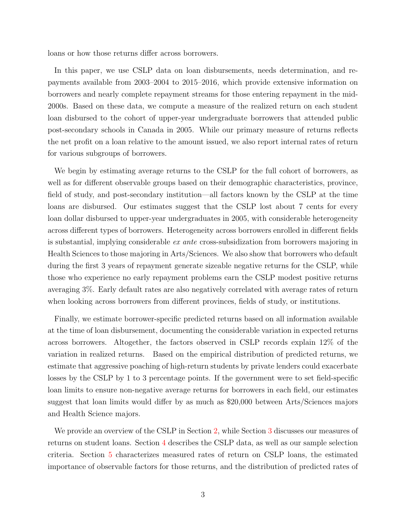loans or how those returns differ across borrowers.

In this paper, we use CSLP data on loan disbursements, needs determination, and repayments available from 2003–2004 to 2015–2016, which provide extensive information on borrowers and nearly complete repayment streams for those entering repayment in the mid-2000s. Based on these data, we compute a measure of the realized return on each student loan disbursed to the cohort of upper-year undergraduate borrowers that attended public post-secondary schools in Canada in 2005. While our primary measure of returns reflects the net profit on a loan relative to the amount issued, we also report internal rates of return for various subgroups of borrowers.

We begin by estimating average returns to the CSLP for the full cohort of borrowers, as well as for different observable groups based on their demographic characteristics, province, field of study, and post-secondary institution—all factors known by the CSLP at the time loans are disbursed. Our estimates suggest that the CSLP lost about 7 cents for every loan dollar disbursed to upper-year undergraduates in 2005, with considerable heterogeneity across different types of borrowers. Heterogeneity across borrowers enrolled in different fields is substantial, implying considerable ex ante cross-subsidization from borrowers majoring in Health Sciences to those majoring in Arts/Sciences. We also show that borrowers who default during the first 3 years of repayment generate sizeable negative returns for the CSLP, while those who experience no early repayment problems earn the CSLP modest positive returns averaging 3%. Early default rates are also negatively correlated with average rates of return when looking across borrowers from different provinces, fields of study, or institutions.

Finally, we estimate borrower-specific predicted returns based on all information available at the time of loan disbursement, documenting the considerable variation in expected returns across borrowers. Altogether, the factors observed in CSLP records explain 12% of the variation in realized returns. Based on the empirical distribution of predicted returns, we estimate that aggressive poaching of high-return students by private lenders could exacerbate losses by the CSLP by 1 to 3 percentage points. If the government were to set field-specific loan limits to ensure non-negative average returns for borrowers in each field, our estimates suggest that loan limits would differ by as much as \$20,000 between Arts/Sciences majors and Health Science majors.

We provide an overview of the CSLP in Section [2,](#page-5-0) while Section [3](#page-7-0) discusses our measures of returns on student loans. Section [4](#page-10-0) describes the CSLP data, as well as our sample selection criteria. Section [5](#page-15-0) characterizes measured rates of return on CSLP loans, the estimated importance of observable factors for those returns, and the distribution of predicted rates of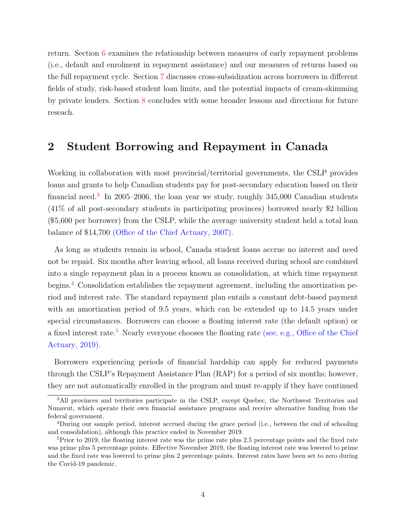return. Section [6](#page-22-0) examines the relationship between measures of early repayment problems (i.e., default and enrolment in repayment assistance) and our measures of returns based on the full repayment cycle. Section [7](#page-25-0) discusses cross-subsidization across borrowers in different fields of study, risk-based student loan limits, and the potential impacts of cream-skimming by private lenders. Section [8](#page-29-0) concludes with some broader lessons and directions for future reseach.

## <span id="page-5-0"></span>2 Student Borrowing and Repayment in Canada

Working in collaboration with most provincial/territorial governments, the CSLP provides loans and grants to help Canadian students pay for post-secondary education based on their financial need.<sup>[3](#page-2-0)</sup> In 2005–2006, the loan year we study, roughly  $345,000$  Canadian students (41% of all post-secondary students in participating provinces) borrowed nearly \$2 billion (\$5,600 per borrower) from the CSLP, while the average university student held a total loan balance of \$14,700 [\(Office of the Chief Actuary,](#page-32-2) [2007\)](#page-32-2).

As long as students remain in school, Canada student loans accrue no interest and need not be repaid. Six months after leaving school, all loans received during school are combined into a single repayment plan in a process known as consolidation, at which time repayment begins.[4](#page-2-0) Consolidation establishes the repayment agreement, including the amortization period and interest rate. The standard repayment plan entails a constant debt-based payment with an amortization period of 9.5 years, which can be extended up to 14.5 years under special circumstances. Borrowers can choose a floating interest rate (the default option) or a fixed interest rate.<sup>[5](#page-2-0)</sup> Nearly everyone chooses the floating rate (see, e.g., [Office of the Chief](#page-32-3) [Actuary,](#page-32-3) [2019\)](#page-32-3).

Borrowers experiencing periods of financial hardship can apply for reduced payments through the CSLP's Repayment Assistance Plan (RAP) for a period of six months; however, they are not automatically enrolled in the program and must re-apply if they have continued

<sup>3</sup>All provinces and territories participate in the CSLP, except Quebec, the Northwest Territories and Nunavut, which operate their own financial assistance programs and receive alternative funding from the federal government.

<sup>4</sup>During our sample period, interest accrued during the grace period (i.e., between the end of schooling and consolidation), although this practice ended in November 2019.

 $5P$ rior to 2019, the floating interest rate was the prime rate plus 2.5 percentage points and the fixed rate was prime plus 5 percentage points. Effective November 2019, the floating interest rate was lowered to prime and the fixed rate was lowered to prime plus 2 percentage points. Interest rates have been set to zero during the Covid-19 pandemic.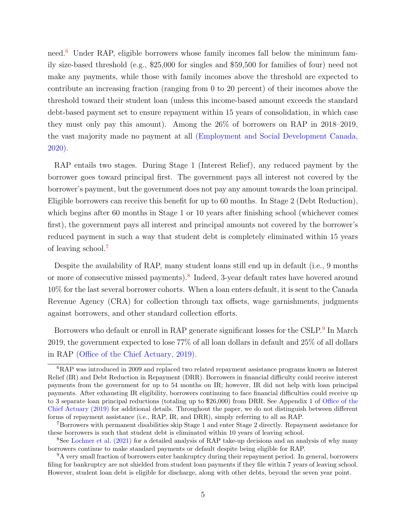need.<sup>[6](#page-2-0)</sup> Under RAP, eligible borrowers whose family incomes fall below the minimum family size-based threshold (e.g., \$25,000 for singles and \$59,500 for families of four) need not make any payments, while those with family incomes above the threshold are expected to contribute an increasing fraction (ranging from 0 to 20 percent) of their incomes above the threshold toward their student loan (unless this income-based amount exceeds the standard debt-based payment set to ensure repayment within 15 years of consolidation, in which case they must only pay this amount). Among the 26% of borrowers on RAP in 2018–2019, the vast majority made no payment at all [\(Employment and Social Development Canada,](#page-31-8) [2020\)](#page-31-8).

RAP entails two stages. During Stage 1 (Interest Relief), any reduced payment by the borrower goes toward principal first. The government pays all interest not covered by the borrower's payment, but the government does not pay any amount towards the loan principal. Eligible borrowers can receive this benefit for up to 60 months. In Stage 2 (Debt Reduction), which begins after 60 months in Stage 1 or 10 years after finishing school (whichever comes first), the government pays all interest and principal amounts not covered by the borrower's reduced payment in such a way that student debt is completely eliminated within 15 years of leaving school.[7](#page-2-0)

Despite the availability of RAP, many student loans still end up in default (i.e., 9 months or more of consecutive missed payments).<sup>[8](#page-2-0)</sup> Indeed, 3-year default rates have hovered around 10% for the last several borrower cohorts. When a loan enters default, it is sent to the Canada Revenue Agency (CRA) for collection through tax offsets, wage garnishments, judgments against borrowers, and other standard collection efforts.

Borrowers who default or enroll in RAP generate significant losses for the CSLP.<sup>[9](#page-2-0)</sup> In March 2019, the government expected to lose 77% of all loan dollars in default and 25% of all dollars in RAP [\(Office of the Chief Actuary,](#page-32-3) [2019\)](#page-32-3).

<sup>6</sup>RAP was introduced in 2009 and replaced two related repayment assistance programs known as Interest Relief (IR) and Debt Reduction in Repayment (DRR). Borrowers in financial difficulty could receive interest payments from the government for up to 54 months on IR; however, IR did not help with loan principal payments. After exhausting IR eligibility, borrowers continuing to face financial difficulties could receive up to 3 separate loan principal reductions (totaling up to \$26,000) from DRR. See Appendix 1 of [Office of the](#page-32-3) [Chief Actuary](#page-32-3) [\(2019\)](#page-32-3) for additional details. Throughout the paper, we do not distinguish between different forms of repayment assistance (i.e., RAP, IR, and DRR), simply referring to all as RAP.

<sup>7</sup>Borrowers with permanent disabilities skip Stage 1 and enter Stage 2 directly. Repayment assistance for these borrowers is such that student debt is eliminated within 10 years of leaving school.

<sup>8</sup>See [Lochner et al.](#page-31-3) [\(2021\)](#page-31-3) for a detailed analysis of RAP take-up decisions and an analysis of why many borrowers continue to make standard payments or default despite being eligible for RAP.

<sup>9</sup>A very small fraction of borrowers enter bankruptcy during their repayment period. In general, borrowers filing for bankruptcy are not shielded from student loan payments if they file within 7 years of leaving school. However, student loan debt is eligible for discharge, along with other debts, beyond the seven year point.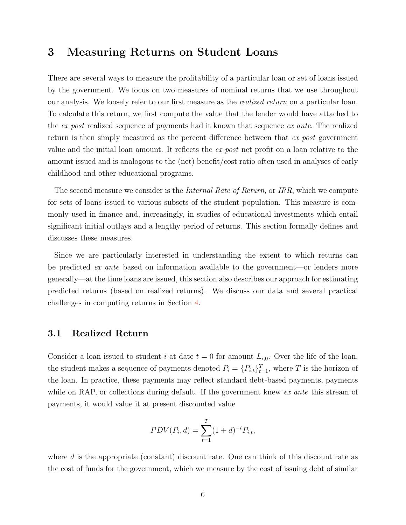## <span id="page-7-0"></span>3 Measuring Returns on Student Loans

There are several ways to measure the profitability of a particular loan or set of loans issued by the government. We focus on two measures of nominal returns that we use throughout our analysis. We loosely refer to our first measure as the realized return on a particular loan. To calculate this return, we first compute the value that the lender would have attached to the ex post realized sequence of payments had it known that sequence ex ante. The realized return is then simply measured as the percent difference between that ex post government value and the initial loan amount. It reflects the ex post net profit on a loan relative to the amount issued and is analogous to the (net) benefit/cost ratio often used in analyses of early childhood and other educational programs.

The second measure we consider is the *Internal Rate of Return*, or IRR, which we compute for sets of loans issued to various subsets of the student population. This measure is commonly used in finance and, increasingly, in studies of educational investments which entail significant initial outlays and a lengthy period of returns. This section formally defines and discusses these measures.

Since we are particularly interested in understanding the extent to which returns can be predicted ex ante based on information available to the government—or lenders more generally—at the time loans are issued, this section also describes our approach for estimating predicted returns (based on realized returns). We discuss our data and several practical challenges in computing returns in Section [4.](#page-10-0)

#### 3.1 Realized Return

Consider a loan issued to student i at date  $t = 0$  for amount  $L_{i,0}$ . Over the life of the loan, the student makes a sequence of payments denoted  $P_i = \{P_{i,t}\}_{t=1}^T$ , where T is the horizon of the loan. In practice, these payments may reflect standard debt-based payments, payments while on RAP, or collections during default. If the government knew ex ante this stream of payments, it would value it at present discounted value

$$
PDV(P_i, d) = \sum_{t=1}^{T} (1+d)^{-t} P_{i,t},
$$

where  $d$  is the appropriate (constant) discount rate. One can think of this discount rate as the cost of funds for the government, which we measure by the cost of issuing debt of similar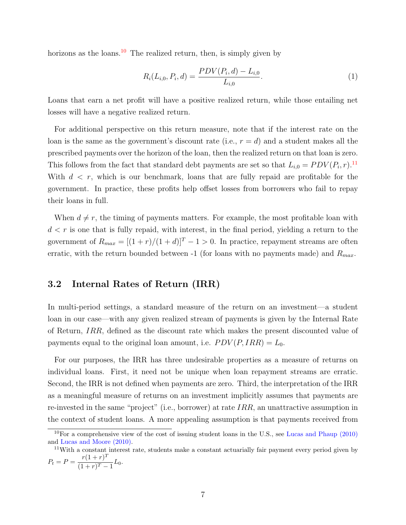horizons as the loans.<sup>[10](#page-2-0)</sup> The realized return, then, is simply given by

<span id="page-8-0"></span>
$$
R_i(L_{i,0}, P_i, d) = \frac{PDV(P_i, d) - L_{i,0}}{L_{i,0}}.
$$
\n(1)

Loans that earn a net profit will have a positive realized return, while those entailing net losses will have a negative realized return.

For additional perspective on this return measure, note that if the interest rate on the loan is the same as the government's discount rate (i.e.,  $r = d$ ) and a student makes all the prescribed payments over the horizon of the loan, then the realized return on that loan is zero. This follows from the fact that standard debt payments are set so that  $L_{i,0} = PDV(P_i, r).$ <sup>[11](#page-2-0)</sup> With  $d < r$ , which is our benchmark, loans that are fully repaid are profitable for the government. In practice, these profits help offset losses from borrowers who fail to repay their loans in full.

When  $d \neq r$ , the timing of payments matters. For example, the most profitable loan with  $d < r$  is one that is fully repaid, with interest, in the final period, yielding a return to the government of  $R_{max} = [(1 + r)/(1 + d)]^T - 1 > 0$ . In practice, repayment streams are often erratic, with the return bounded between -1 (for loans with no payments made) and  $R_{max}$ .

#### 3.2 Internal Rates of Return (IRR)

In multi-period settings, a standard measure of the return on an investment—a student loan in our case—with any given realized stream of payments is given by the Internal Rate of Return, IRR, defined as the discount rate which makes the present discounted value of payments equal to the original loan amount, i.e.  $PDV(P, IRR) = L_0$ .

For our purposes, the IRR has three undesirable properties as a measure of returns on individual loans. First, it need not be unique when loan repayment streams are erratic. Second, the IRR is not defined when payments are zero. Third, the interpretation of the IRR as a meaningful measure of returns on an investment implicitly assumes that payments are re-invested in the same "project" (i.e., borrower) at rate  $IRR$ , an unattractive assumption in the context of student loans. A more appealing assumption is that payments received from

 $10$ For a comprehensive view of the cost of issuing student loans in the U.S., see [Lucas and Phaup](#page-32-4) [\(2010\)](#page-32-4) and [Lucas and Moore](#page-32-5) [\(2010\)](#page-32-5).

<sup>11</sup>With a constant interest rate, students make a constant actuarially fair payment every period given by  $P_t = P = \frac{r(1+r)^T}{(1+r)^T}$  $\frac{(1+r)^{T}-1}{(1+r)^{T}-1}L_{0}.$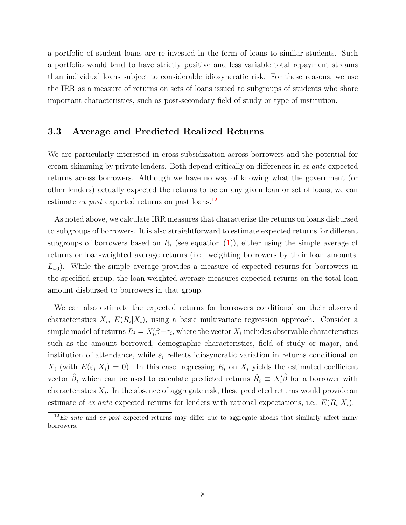a portfolio of student loans are re-invested in the form of loans to similar students. Such a portfolio would tend to have strictly positive and less variable total repayment streams than individual loans subject to considerable idiosyncratic risk. For these reasons, we use the IRR as a measure of returns on sets of loans issued to subgroups of students who share important characteristics, such as post-secondary field of study or type of institution.

#### <span id="page-9-0"></span>3.3 Average and Predicted Realized Returns

We are particularly interested in cross-subsidization across borrowers and the potential for cream-skimming by private lenders. Both depend critically on differences in ex ante expected returns across borrowers. Although we have no way of knowing what the government (or other lenders) actually expected the returns to be on any given loan or set of loans, we can estimate ex post expected returns on past loans.<sup>[12](#page-2-0)</sup>

As noted above, we calculate IRR measures that characterize the returns on loans disbursed to subgroups of borrowers. It is also straightforward to estimate expected returns for different subgroups of borrowers based on  $R_i$  (see equation [\(1\)](#page-8-0)), either using the simple average of returns or loan-weighted average returns (i.e., weighting borrowers by their loan amounts,  $L_{i,0}$ ). While the simple average provides a measure of expected returns for borrowers in the specified group, the loan-weighted average measures expected returns on the total loan amount disbursed to borrowers in that group.

We can also estimate the expected returns for borrowers conditional on their observed characteristics  $X_i$ ,  $E(R_i|X_i)$ , using a basic multivariate regression approach. Consider a simple model of returns  $R_i = X_i' \beta + \varepsilon_i$ , where the vector  $X_i$  includes observable characteristics such as the amount borrowed, demographic characteristics, field of study or major, and institution of attendance, while  $\varepsilon_i$  reflects idiosyncratic variation in returns conditional on  $X_i$  (with  $E(\varepsilon_i|X_i) = 0$ ). In this case, regressing  $R_i$  on  $X_i$  yields the estimated coefficient vector  $\hat{\beta}$ , which can be used to calculate predicted returns  $\hat{R}_i \equiv X_i'^{\dagger} \hat{\beta}$  for a borrower with characteristics  $X_i$ . In the absence of aggregate risk, these predicted returns would provide an estimate of ex ante expected returns for lenders with rational expectations, i.e.,  $E(R_i|X_i)$ .

 $12$ Ex ante and ex post expected returns may differ due to aggregate shocks that similarly affect many borrowers.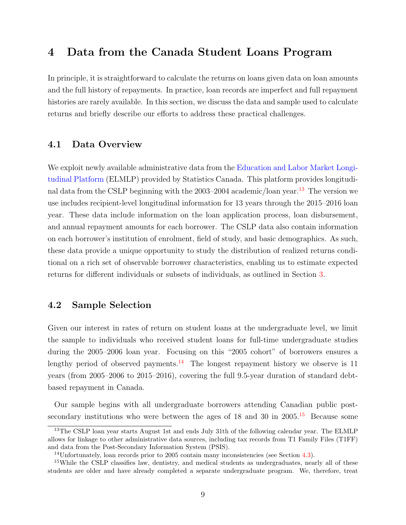## <span id="page-10-0"></span>4 Data from the Canada Student Loans Program

In principle, it is straightforward to calculate the returns on loans given data on loan amounts and the full history of repayments. In practice, loan records are imperfect and full repayment histories are rarely available. In this section, we discuss the data and sample used to calculate returns and briefly describe our efforts to address these practical challenges.

### <span id="page-10-1"></span>4.1 Data Overview

We exploit newly available administrative data from the [Education and Labor Market Longi](https://crdcn.org/datasets/elmlp-education-and-labour-market-longitudinal-linkage-platform)[tudinal Platform](https://crdcn.org/datasets/elmlp-education-and-labour-market-longitudinal-linkage-platform) (ELMLP) provided by Statistics Canada. This platform provides longitudi-nal data from the CSLP beginning with the 2003–2004 academic/loan year.<sup>[13](#page-2-0)</sup> The version we use includes recipient-level longitudinal information for 13 years through the 2015–2016 loan year. These data include information on the loan application process, loan disbursement, and annual repayment amounts for each borrower. The CSLP data also contain information on each borrower's institution of enrolment, field of study, and basic demographics. As such, these data provide a unique opportunity to study the distribution of realized returns conditional on a rich set of observable borrower characteristics, enabling us to estimate expected returns for different individuals or subsets of individuals, as outlined in Section [3.](#page-7-0)

### 4.2 Sample Selection

Given our interest in rates of return on student loans at the undergraduate level, we limit the sample to individuals who received student loans for full-time undergraduate studies during the 2005–2006 loan year. Focusing on this "2005 cohort" of borrowers ensures a lengthy period of observed payments.<sup>[14](#page-2-0)</sup> The longest repayment history we observe is 11 years (from 2005–2006 to 2015–2016), covering the full 9.5-year duration of standard debtbased repayment in Canada.

Our sample begins with all undergraduate borrowers attending Canadian public postsecondary institutions who were between the ages of 18 and 30 in  $2005<sup>15</sup>$  $2005<sup>15</sup>$  $2005<sup>15</sup>$  Because some

<sup>&</sup>lt;sup>13</sup>The CSLP loan year starts August 1st and ends July 31th of the following calendar year. The ELMLP allows for linkage to other administrative data sources, including tax records from T1 Family Files (T1FF) and data from the Post-Secondary Information System (PSIS).

<sup>14</sup>Unfortunately, loan records prior to 2005 contain many inconsistencies (see Section [4.3\)](#page-11-0).

<sup>&</sup>lt;sup>15</sup>While the CSLP classifies law, dentistry, and medical students as undergraduates, nearly all of these students are older and have already completed a separate undergraduate program. We, therefore, treat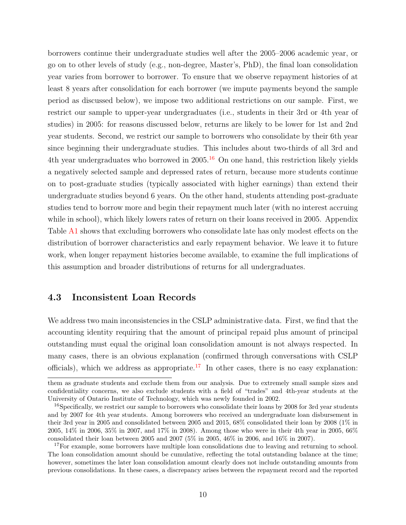borrowers continue their undergraduate studies well after the 2005–2006 academic year, or go on to other levels of study (e.g., non-degree, Master's, PhD), the final loan consolidation year varies from borrower to borrower. To ensure that we observe repayment histories of at least 8 years after consolidation for each borrower (we impute payments beyond the sample period as discussed below), we impose two additional restrictions on our sample. First, we restrict our sample to upper-year undergraduates (i.e., students in their 3rd or 4th year of studies) in 2005: for reasons discussed below, returns are likely to be lower for 1st and 2nd year students. Second, we restrict our sample to borrowers who consolidate by their 6th year since beginning their undergraduate studies. This includes about two-thirds of all 3rd and 4th year undergraduates who borrowed in 2005.<sup>[16](#page-2-0)</sup> On one hand, this restriction likely yields a negatively selected sample and depressed rates of return, because more students continue on to post-graduate studies (typically associated with higher earnings) than extend their undergraduate studies beyond 6 years. On the other hand, students attending post-graduate studies tend to borrow more and begin their repayment much later (with no interest accruing while in school), which likely lowers rates of return on their loans received in 2005. Appendix Table [A1](#page-38-0) shows that excluding borrowers who consolidate late has only modest effects on the distribution of borrower characteristics and early repayment behavior. We leave it to future work, when longer repayment histories become available, to examine the full implications of this assumption and broader distributions of returns for all undergraduates.

#### <span id="page-11-0"></span>4.3 Inconsistent Loan Records

We address two main inconsistencies in the CSLP administrative data. First, we find that the accounting identity requiring that the amount of principal repaid plus amount of principal outstanding must equal the original loan consolidation amount is not always respected. In many cases, there is an obvious explanation (confirmed through conversations with CSLP officials), which we address as appropriate.<sup>[17](#page-2-0)</sup> In other cases, there is no easy explanation:

them as graduate students and exclude them from our analysis. Due to extremely small sample sizes and confidentiality concerns, we also exclude students with a field of "trades" and 4th-year students at the University of Ontario Institute of Technology, which was newly founded in 2002.

<sup>&</sup>lt;sup>16</sup>Specifically, we restrict our sample to borrowers who consolidate their loans by 2008 for 3rd year students and by 2007 for 4th year students. Among borrowers who received an undergraduate loan disbursement in their 3rd year in 2005 and consolidated between 2005 and 2015, 68% consolidated their loan by 2008 (1% in 2005, 14% in 2006, 35% in 2007, and 17% in 2008). Among those who were in their 4th year in 2005, 66% consolidated their loan between 2005 and 2007 (5% in 2005, 46% in 2006, and 16% in 2007).

<sup>&</sup>lt;sup>17</sup>For example, some borrowers have multiple loan consolidations due to leaving and returning to school. The loan consolidation amount should be cumulative, reflecting the total outstanding balance at the time; however, sometimes the later loan consolidation amount clearly does not include outstanding amounts from previous consolidations. In these cases, a discrepancy arises between the repayment record and the reported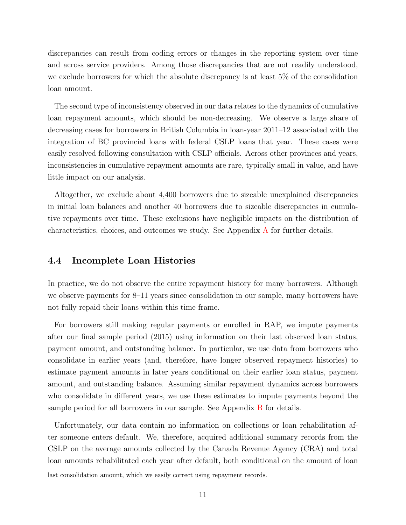discrepancies can result from coding errors or changes in the reporting system over time and across service providers. Among those discrepancies that are not readily understood, we exclude borrowers for which the absolute discrepancy is at least 5% of the consolidation loan amount.

The second type of inconsistency observed in our data relates to the dynamics of cumulative loan repayment amounts, which should be non-decreasing. We observe a large share of decreasing cases for borrowers in British Columbia in loan-year 2011–12 associated with the integration of BC provincial loans with federal CSLP loans that year. These cases were easily resolved following consultation with CSLP officials. Across other provinces and years, inconsistencies in cumulative repayment amounts are rare, typically small in value, and have little impact on our analysis.

Altogether, we exclude about 4,400 borrowers due to sizeable unexplained discrepancies in initial loan balances and another 40 borrowers due to sizeable discrepancies in cumulative repayments over time. These exclusions have negligible impacts on the distribution of characteristics, choices, and outcomes we study. See Appendix [A](#page-33-0) for further details.

#### 4.4 Incomplete Loan Histories

In practice, we do not observe the entire repayment history for many borrowers. Although we observe payments for 8–11 years since consolidation in our sample, many borrowers have not fully repaid their loans within this time frame.

For borrowers still making regular payments or enrolled in RAP, we impute payments after our final sample period (2015) using information on their last observed loan status, payment amount, and outstanding balance. In particular, we use data from borrowers who consolidate in earlier years (and, therefore, have longer observed repayment histories) to estimate payment amounts in later years conditional on their earlier loan status, payment amount, and outstanding balance. Assuming similar repayment dynamics across borrowers who consolidate in different years, we use these estimates to impute payments beyond the sample period for all borrowers in our sample. See Appendix [B](#page-39-0) for details.

Unfortunately, our data contain no information on collections or loan rehabilitation after someone enters default. We, therefore, acquired additional summary records from the CSLP on the average amounts collected by the Canada Revenue Agency (CRA) and total loan amounts rehabilitated each year after default, both conditional on the amount of loan

last consolidation amount, which we easily correct using repayment records.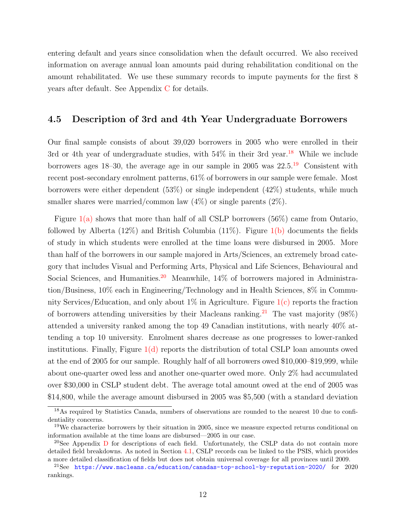entering default and years since consolidation when the default occurred. We also received information on average annual loan amounts paid during rehabilitation conditional on the amount rehabilitated. We use these summary records to impute payments for the first 8 years after default. See Appendix [C](#page-43-0) for details.

#### 4.5 Description of 3rd and 4th Year Undergraduate Borrowers

Our final sample consists of about 39,020 borrowers in 2005 who were enrolled in their 3rd or 4th year of undergraduate studies, with  $54\%$  in their 3rd year.<sup>[18](#page-2-0)</sup> While we include borrowers ages 18–30, the average age in our sample in 2005 was  $22.5^{19}$  $22.5^{19}$  $22.5^{19}$  Consistent with recent post-secondary enrolment patterns, 61% of borrowers in our sample were female. Most borrowers were either dependent (53%) or single independent (42%) students, while much smaller shares were married/common law  $(4\%)$  or single parents  $(2\%)$ .

Figure  $1(a)$  $1(a)$  shows that more than half of all CSLP borrowers (56%) came from Ontario, followed by Alberta  $(12\%)$  $(12\%)$  $(12\%)$  and British Columbia  $(11\%)$ . Figure  $1(b)$  $1(b)$  documents the fields of study in which students were enrolled at the time loans were disbursed in 2005. More than half of the borrowers in our sample majored in Arts/Sciences, an extremely broad category that includes Visual and Performing Arts, Physical and Life Sciences, Behavioural and Social Sciences, and Humanities.<sup>[20](#page-2-0)</sup> Meanwhile,  $14\%$  of borrowers majored in Administration/Business, 10% each in Engineering/Technology and in Health Sciences, 8% in Community Services/Education, and only about  $1\%$  $1\%$  in Agriculture. Figure  $1(c)$  $1(c)$  reports the fraction of borrowers attending universities by their Macleans ranking.<sup>[21](#page-2-0)</sup> The vast majority (98%) attended a university ranked among the top 49 Canadian institutions, with nearly 40% attending a top 10 university. Enrolment shares decrease as one progresses to lower-ranked institutions. Finally, Figure  $1(d)$  $1(d)$  reports the distribution of total CSLP loan amounts owed at the end of 2005 for our sample. Roughly half of all borrowers owed \$10,000–\$19,999, while about one-quarter owed less and another one-quarter owed more. Only 2% had accumulated over \$30,000 in CSLP student debt. The average total amount owed at the end of 2005 was \$14,800, while the average amount disbursed in 2005 was \$5,500 (with a standard deviation

<sup>18</sup>As required by Statistics Canada, numbers of observations are rounded to the nearest 10 due to confidentiality concerns.

<sup>&</sup>lt;sup>19</sup>We characterize borrowers by their situation in 2005, since we measure expected returns conditional on information available at the time loans are disbursed—2005 in our case.

<sup>&</sup>lt;sup>20</sup>See Appendix  $\overline{D}$  $\overline{D}$  $\overline{D}$  for descriptions of each field. Unfortunately, the CSLP data do not contain more detailed field breakdowns. As noted in Section [4.1,](#page-10-1) CSLP records can be linked to the PSIS, which provides a more detailed classification of fields but does not obtain universal coverage for all provinces until 2009.

<sup>&</sup>lt;sup>21</sup>See <https://www.macleans.ca/education/canadas-top-school-by-reputation-2020/> for 2020 rankings.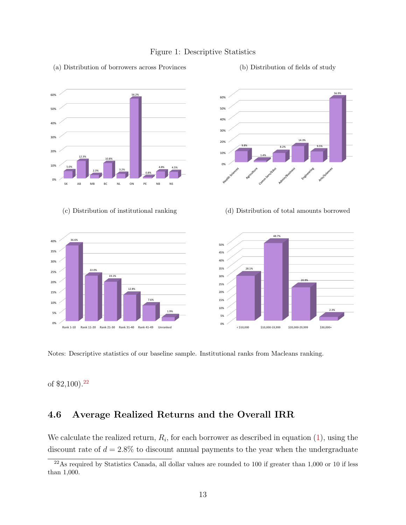

#### <span id="page-14-1"></span><span id="page-14-0"></span>(a) Distribution of borrowers across Provinces





#### (c) Distribution of institutional ranking

<span id="page-14-2"></span>

<span id="page-14-4"></span>(d) Distribution of total amounts borrowed

<span id="page-14-3"></span>

Notes: Descriptive statistics of our baseline sample. Institutional ranks from Macleans ranking.

of \$2,100).[22](#page-2-0)

### 4.6 Average Realized Returns and the Overall IRR

We calculate the realized return,  $R_i$ , for each borrower as described in equation  $(1)$ , using the discount rate of  $d = 2.8\%$  to discount annual payments to the year when the undergraduate

 $^{22}$ As required by Statistics Canada, all dollar values are rounded to 100 if greater than 1,000 or 10 if less than 1,000.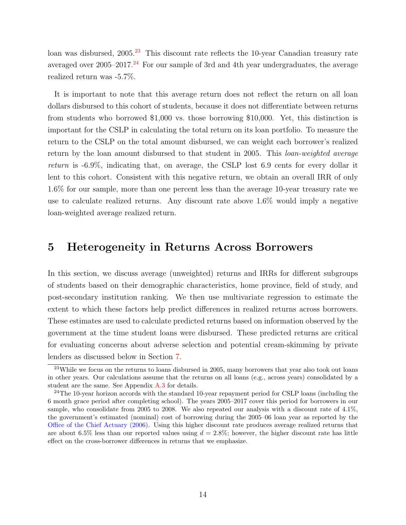loan was disbursed, 2005.<sup>[23](#page-2-0)</sup> This discount rate reflects the 10-year Canadian treasury rate averaged over  $2005-2017<sup>24</sup>$  $2005-2017<sup>24</sup>$  $2005-2017<sup>24</sup>$  For our sample of 3rd and 4th year undergraduates, the average realized return was -5.7%.

It is important to note that this average return does not reflect the return on all loan dollars disbursed to this cohort of students, because it does not differentiate between returns from students who borrowed \$1,000 vs. those borrowing \$10,000. Yet, this distinction is important for the CSLP in calculating the total return on its loan portfolio. To measure the return to the CSLP on the total amount disbursed, we can weight each borrower's realized return by the loan amount disbursed to that student in 2005. This loan-weighted average return is -6.9%, indicating that, on average, the CSLP lost 6.9 cents for every dollar it lent to this cohort. Consistent with this negative return, we obtain an overall IRR of only 1.6% for our sample, more than one percent less than the average 10-year treasury rate we use to calculate realized returns. Any discount rate above 1.6% would imply a negative loan-weighted average realized return.

### <span id="page-15-0"></span>5 Heterogeneity in Returns Across Borrowers

In this section, we discuss average (unweighted) returns and IRRs for different subgroups of students based on their demographic characteristics, home province, field of study, and post-secondary institution ranking. We then use multivariate regression to estimate the extent to which these factors help predict differences in realized returns across borrowers. These estimates are used to calculate predicted returns based on information observed by the government at the time student loans were disbursed. These predicted returns are critical for evaluating concerns about adverse selection and potential cream-skimming by private lenders as discussed below in Section [7.](#page-25-0)

<sup>&</sup>lt;sup>23</sup>While we focus on the returns to loans disbursed in 2005, many borrowers that year also took out loans in other years. Our calculations assume that the returns on all loans (e.g., across years) consolidated by a student are the same. See Appendix [A.3](#page-36-0) for details.

<sup>&</sup>lt;sup>24</sup>The 10-year horizon accords with the standard 10-year repayment period for CSLP loans (including the 6 month grace period after completing school). The years 2005–2017 cover this period for borrowers in our sample, who consolidate from 2005 to 2008. We also repeated our analysis with a discount rate of 4.1%, the government's estimated (nominal) cost of borrowing during the 2005–06 loan year as reported by the [Office of the Chief Actuary](#page-32-6) [\(2006\)](#page-32-6). Using this higher discount rate produces average realized returns that are about 6.5% less than our reported values using  $d = 2.8\%$ ; however, the higher discount rate has little effect on the cross-borrower differences in returns that we emphasize.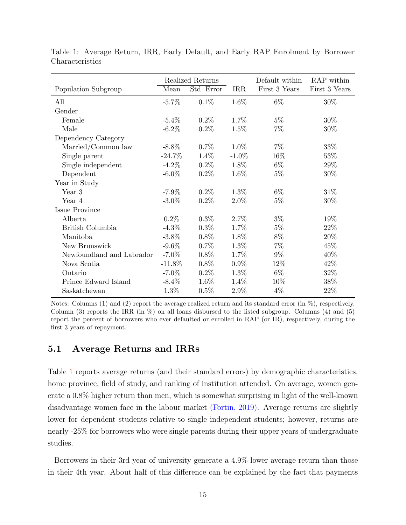|                           |           | Realized Returns |            | Default within | RAP within    |
|---------------------------|-----------|------------------|------------|----------------|---------------|
| Population Subgroup       | Mean      | Std. Error       | <b>IRR</b> | First 3 Years  | First 3 Years |
| All                       | $-5.7\%$  | 0.1%             | 1.6%       | $6\%$          | $30\%$        |
| Gender                    |           |                  |            |                |               |
| Female                    | $-5.4\%$  | $0.2\%$          | 1.7%       | $5\%$          | 30%           |
| Male                      | $-6.2\%$  | $0.2\%$          | 1.5%       | $7\%$          | 30%           |
| Dependency Category       |           |                  |            |                |               |
| Married/Common law        | $-8.8\%$  | $0.7\%$          | 1.0%       | $7\%$          | 33%           |
| Single parent             | $-24.7\%$ | 1.4%             | $-1.0\%$   | 16%            | 53%           |
| Single independent        | $-4.2\%$  | $0.2\%$          | 1.8%       | $6\%$          | 29%           |
| Dependent                 | $-6.0\%$  | $0.2\%$          | 1.6%       | $5\%$          | 30\%          |
| Year in Study             |           |                  |            |                |               |
| Year 3                    | $-7.9\%$  | $0.2\%$          | 1.3%       | $6\%$          | 31\%          |
| Year 4                    | $-3.0\%$  | $0.2\%$          | 2.0%       | $5\%$          | $30\%$        |
| <b>Issue Province</b>     |           |                  |            |                |               |
| Alberta                   | $0.2\%$   | $0.3\%$          | 2.7%       | $3\%$          | 19%           |
| British Columbia          | $-4.3\%$  | $0.3\%$          | 1.7%       | $5\%$          | 22\%          |
| Manitoba                  | $-3.8\%$  | $0.8\%$          | 1.8%       | $8\%$          | 20%           |
| New Brunswick             | $-9.6\%$  | 0.7%             | 1.3%       | $7\%$          | 45%           |
| Newfoundland and Labrador | $-7.0\%$  | $0.8\%$          | 1.7%       | $9\%$          | 40%           |
| Nova Scotia               | $-11.8\%$ | $0.8\%$          | $0.9\%$    | 12%            | 42\%          |
| Ontario                   | $-7.0\%$  | $0.2\%$          | 1.3%       | $6\%$          | 32%           |
| Prince Edward Island      | $-8.4\%$  | 1.6%             | 1.4%       | 10%            | $38\%$        |
| Saskatchewan              | $1.3\%$   | 0.5%             | 2.9%       | $4\%$          | 22\%          |

<span id="page-16-0"></span>Table 1: Average Return, IRR, Early Default, and Early RAP Enrolment by Borrower Characteristics

Notes: Columns (1) and (2) report the average realized return and its standard error (in  $\%$ ), respectively. Column (3) reports the IRR (in  $\%$ ) on all loans disbursed to the listed subgroup. Columns (4) and (5) report the percent of borrowers who ever defaulted or enrolled in RAP (or IR), respectively, during the first 3 years of repayment.

### 5.1 Average Returns and IRRs

Table [1](#page-16-0) reports average returns (and their standard errors) by demographic characteristics, home province, field of study, and ranking of institution attended. On average, women generate a 0.8% higher return than men, which is somewhat surprising in light of the well-known disadvantage women face in the labour market [\(Fortin,](#page-31-9) [2019\)](#page-31-9). Average returns are slightly lower for dependent students relative to single independent students; however, returns are nearly -25% for borrowers who were single parents during their upper years of undergraduate studies.

Borrowers in their 3rd year of university generate a 4.9% lower average return than those in their 4th year. About half of this difference can be explained by the fact that payments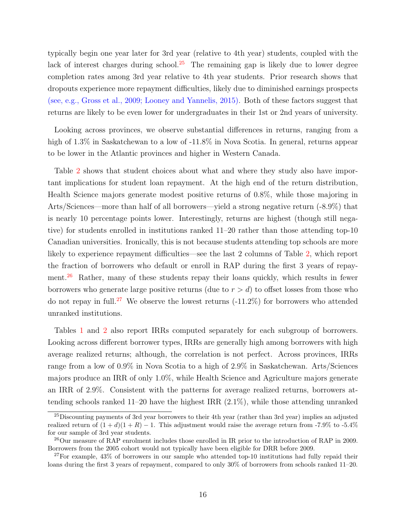typically begin one year later for 3rd year (relative to 4th year) students, coupled with the lack of interest charges during school.<sup>[25](#page-2-0)</sup> The remaining gap is likely due to lower degree completion rates among 3rd year relative to 4th year students. Prior research shows that dropouts experience more repayment difficulties, likely due to diminished earnings prospects (see, e.g., [Gross et al.,](#page-31-4) [2009;](#page-31-4) [Looney and Yannelis,](#page-31-5) [2015\)](#page-31-5). Both of these factors suggest that returns are likely to be even lower for undergraduates in their 1st or 2nd years of university.

Looking across provinces, we observe substantial differences in returns, ranging from a high of 1.3% in Saskatchewan to a low of -11.8% in Nova Scotia. In general, returns appear to be lower in the Atlantic provinces and higher in Western Canada.

Table [2](#page-18-0) shows that student choices about what and where they study also have important implications for student loan repayment. At the high end of the return distribution, Health Science majors generate modest positive returns of 0.8%, while those majoring in Arts/Sciences—more than half of all borrowers—yield a strong negative return (-8.9%) that is nearly 10 percentage points lower. Interestingly, returns are highest (though still negative) for students enrolled in institutions ranked 11–20 rather than those attending top-10 Canadian universities. Ironically, this is not because students attending top schools are more likely to experience repayment difficulties—see the last 2 columns of Table [2,](#page-18-0) which report the fraction of borrowers who default or enroll in RAP during the first 3 years of repay-ment.<sup>[26](#page-2-0)</sup> Rather, many of these students repay their loans quickly, which results in fewer borrowers who generate large positive returns (due to  $r > d$ ) to offset losses from those who do not repay in full.<sup>[27](#page-2-0)</sup> We observe the lowest returns  $(-11.2\%)$  for borrowers who attended unranked institutions.

Tables [1](#page-16-0) and [2](#page-18-0) also report IRRs computed separately for each subgroup of borrowers. Looking across different borrower types, IRRs are generally high among borrowers with high average realized returns; although, the correlation is not perfect. Across provinces, IRRs range from a low of 0.9% in Nova Scotia to a high of 2.9% in Saskatchewan. Arts/Sciences majors produce an IRR of only 1.0%, while Health Science and Agriculture majors generate an IRR of 2.9%. Consistent with the patterns for average realized returns, borrowers attending schools ranked 11–20 have the highest IRR (2.1%), while those attending unranked

 $^{25}$ Discounting payments of 3rd year borrowers to their 4th year (rather than 3rd year) implies an adjusted realized return of  $(1 + d)(1 + R) - 1$ . This adjustment would raise the average return from -7.9% to -5.4% for our sample of 3rd year students.

<sup>26</sup>Our measure of RAP enrolment includes those enrolled in IR prior to the introduction of RAP in 2009. Borrowers from the 2005 cohort would not typically have been eligible for DRR before 2009.

<sup>&</sup>lt;sup>27</sup>For example, 43% of borrowers in our sample who attended top-10 institutions had fully repaid their loans during the first 3 years of repayment, compared to only 30% of borrowers from schools ranked 11–20.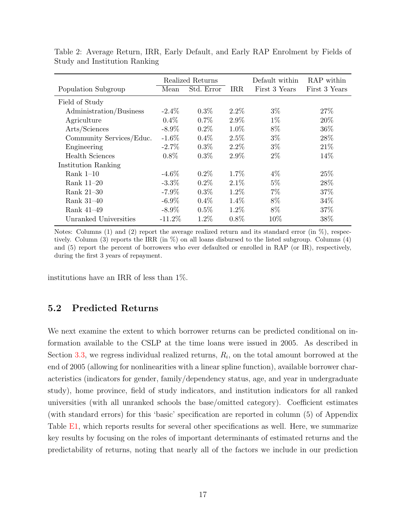|                          | Realized Returns |            |         | Default within | RAP within    |
|--------------------------|------------------|------------|---------|----------------|---------------|
| Population Subgroup      | Mean             | Std. Error | IRR.    | First 3 Years  | First 3 Years |
| Field of Study           |                  |            |         |                |               |
| Administration/Business  | $-2.4\%$         | $0.3\%$    | $2.2\%$ | $3\%$          | 27\%          |
| Agriculture              | $0.4\%$          | $0.7\%$    | 2.9%    | $1\%$          | 20%           |
| Arts/Sciences            | $-8.9\%$         | $0.2\%$    | $1.0\%$ | 8%             | 36\%          |
| Community Services/Educ. | $-1.6\%$         | $0.4\%$    | 2.5%    | $3\%$          | 28\%          |
| Engineering              | $-2.7\%$         | $0.3\%$    | $2.2\%$ | $3\%$          | 21\%          |
| Health Sciences          | $0.8\%$          | $0.3\%$    | $2.9\%$ | $2\%$          | 14\%          |
| Institution Ranking      |                  |            |         |                |               |
| Rank $1-10$              | $-4.6\%$         | $0.2\%$    | $1.7\%$ | $4\%$          | 25\%          |
| Rank 11–20               | $-3.3\%$         | $0.2\%$    | $2.1\%$ | $5\%$          | 28\%          |
| Rank 21–30               | $-7.9\%$         | $0.3\%$    | $1.2\%$ | $7\%$          | 37%           |
| Rank 31-40               | $-6.9\%$         | $0.4\%$    | $1.4\%$ | 8%             | 34\%          |
| Rank 41–49               | $-8.9\%$         | $0.5\%$    | $1.2\%$ | 8\%            | 37%           |
| Unranked Universities    | $-11.2\%$        | $1.2\%$    | $0.8\%$ | 10%            | 38%           |

<span id="page-18-0"></span>Table 2: Average Return, IRR, Early Default, and Early RAP Enrolment by Fields of Study and Institution Ranking

Notes: Columns  $(1)$  and  $(2)$  report the average realized return and its standard error (in  $\%$ ), respectively. Column (3) reports the IRR (in %) on all loans disbursed to the listed subgroup. Columns (4) and (5) report the percent of borrowers who ever defaulted or enrolled in RAP (or IR), respectively, during the first 3 years of repayment.

institutions have an IRR of less than 1%.

### <span id="page-18-1"></span>5.2 Predicted Returns

We next examine the extent to which borrower returns can be predicted conditional on information available to the CSLP at the time loans were issued in 2005. As described in Section [3.3,](#page-9-0) we regress individual realized returns,  $R_i$ , on the total amount borrowed at the end of 2005 (allowing for nonlinearities with a linear spline function), available borrower characteristics (indicators for gender, family/dependency status, age, and year in undergraduate study), home province, field of study indicators, and institution indicators for all ranked universities (with all unranked schools the base/omitted category). Coefficient estimates (with standard errors) for this 'basic' specification are reported in column (5) of Appendix Table [E1,](#page-49-0) which reports results for several other specifications as well. Here, we summarize key results by focusing on the roles of important determinants of estimated returns and the predictability of returns, noting that nearly all of the factors we include in our prediction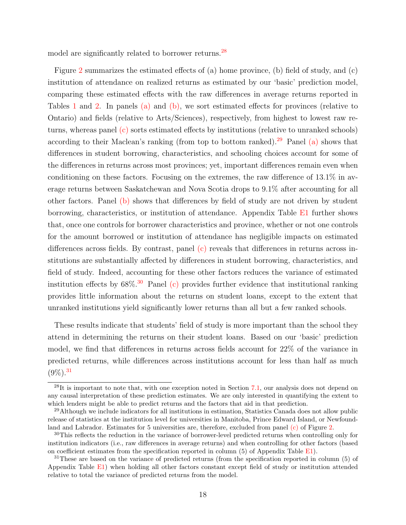model are significantly related to borrower returns.<sup>[28](#page-2-0)</sup>

Figure [2](#page-20-0) summarizes the estimated effects of (a) home province, (b) field of study, and (c) institution of attendance on realized returns as estimated by our 'basic' prediction model, comparing these estimated effects with the raw differences in average returns reported in Tables [1](#page-16-0) and [2.](#page-18-0) In panels [\(a\)](#page-20-1) and [\(b\),](#page-20-2) we sort estimated effects for provinces (relative to Ontario) and fields (relative to Arts/Sciences), respectively, from highest to lowest raw returns, whereas panel [\(c\)](#page-20-3) sorts estimated effects by institutions (relative to unranked schools) according to their Maclean's ranking (from top to bottom ranked).<sup>[29](#page-2-0)</sup> Panel [\(a\)](#page-20-1) shows that differences in student borrowing, characteristics, and schooling choices account for some of the differences in returns across most provinces; yet, important differences remain even when conditioning on these factors. Focusing on the extremes, the raw difference of 13.1% in average returns between Saskatchewan and Nova Scotia drops to 9.1% after accounting for all other factors. Panel [\(b\)](#page-20-2) shows that differences by field of study are not driven by student borrowing, characteristics, or institution of attendance. Appendix Table [E1](#page-49-0) further shows that, once one controls for borrower characteristics and province, whether or not one controls for the amount borrowed or institution of attendance has negligible impacts on estimated differences across fields. By contrast, panel [\(c\)](#page-20-3) reveals that differences in returns across institutions are substantially affected by differences in student borrowing, characteristics, and field of study. Indeed, accounting for these other factors reduces the variance of estimated institution effects by  $68\%$ .<sup>[30](#page-2-0)</sup> Panel [\(c\)](#page-20-3) provides further evidence that institutional ranking provides little information about the returns on student loans, except to the extent that unranked institutions yield significantly lower returns than all but a few ranked schools.

These results indicate that students' field of study is more important than the school they attend in determining the returns on their student loans. Based on our 'basic' prediction model, we find that differences in returns across fields account for 22% of the variance in predicted returns, while differences across institutions account for less than half as much  $(9\%)$ <sup>[31](#page-2-0)</sup>

 $^{28}$ It is important to note that, with one exception noted in Section [7.1,](#page-26-0) our analysis does not depend on any causal interpretation of these prediction estimates. We are only interested in quantifying the extent to which lenders might be able to predict returns and the factors that aid in that prediction.

<sup>&</sup>lt;sup>29</sup>Although we include indicators for all institutions in estimation, Statistics Canada does not allow public release of statistics at the institution level for universities in Manitoba, Prince Edward Island, or Newfoundland and Labrador. Estimates for 5 universities are, therefore, excluded from panel [\(c\)](#page-20-3) of Figure [2.](#page-20-0)

<sup>&</sup>lt;sup>30</sup>This reflects the reduction in the variance of borrower-level predicted returns when controlling only for institution indicators (i.e., raw differences in average returns) and when controlling for other factors (based on coefficient estimates from the specification reported in column  $(5)$  of Appendix Table [E1\)](#page-49-0).

<sup>&</sup>lt;sup>31</sup>These are based on the variance of predicted returns (from the specification reported in column (5) of Appendix Table [E1\)](#page-49-0) when holding all other factors constant except field of study or institution attended relative to total the variance of predicted returns from the model.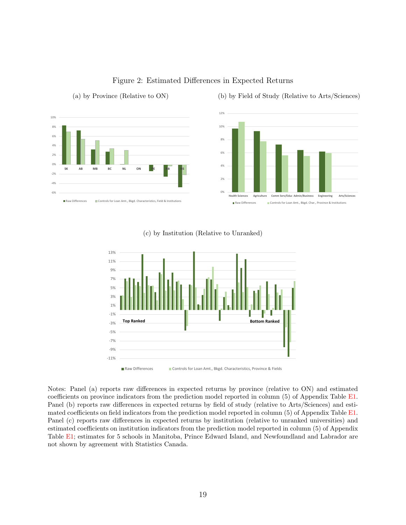<span id="page-20-1"></span><span id="page-20-0"></span>

#### Figure 2: Estimated Differences in Expected Returns

(a) by Province (Relative to ON)

<span id="page-20-2"></span>(b) by Field of Study (Relative to Arts/Sciences)

#### (c) by Institution (Relative to Unranked)

<span id="page-20-3"></span>

Notes: Panel (a) reports raw differences in expected returns by province (relative to ON) and estimated coefficients on province indicators from the prediction model reported in column (5) of Appendix Table [E1.](#page-49-0) Panel (b) reports raw differences in expected returns by field of study (relative to Arts/Sciences) and estimated coefficients on field indicators from the prediction model reported in column (5) of Appendix Table [E1.](#page-49-0) Panel (c) reports raw differences in expected returns by institution (relative to unranked universities) and estimated coefficients on institution indicators from the prediction model reported in column (5) of Appendix Table [E1;](#page-49-0) estimates for 5 schools in Manitoba, Prince Edward Island, and Newfoundland and Labrador are not shown by agreement with Statistics Canada.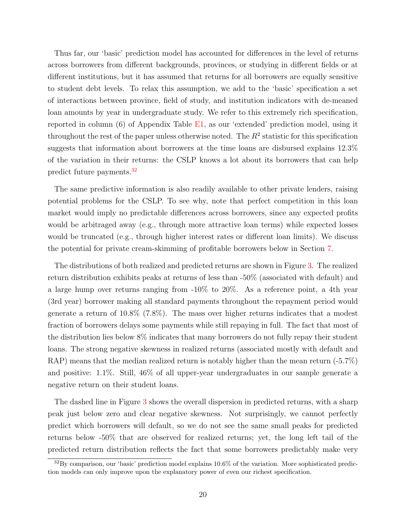Thus far, our 'basic' prediction model has accounted for differences in the level of returns across borrowers from different backgrounds, provinces, or studying in different fields or at different institutions, but it has assumed that returns for all borrowers are equally sensitive to student debt levels. To relax this assumption, we add to the 'basic' specification a set of interactions between province, field of study, and institution indicators with de-meaned loan amounts by year in undergraduate study. We refer to this extremely rich specification, reported in column (6) of Appendix Table [E1,](#page-49-0) as our 'extended' prediction model, using it throughout the rest of the paper unless otherwise noted. The  $R^2$  statistic for this specification suggests that information about borrowers at the time loans are disbursed explains 12.3% of the variation in their returns: the CSLP knows a lot about its borrowers that can help predict future payments.[32](#page-2-0)

The same predictive information is also readily available to other private lenders, raising potential problems for the CSLP. To see why, note that perfect competition in this loan market would imply no predictable differences across borrowers, since any expected profits would be arbitraged away (e.g., through more attractive loan terms) while expected losses would be truncated (e.g., through higher interest rates or different loan limits). We discuss the potential for private cream-skimming of profitable borrowers below in Section [7.](#page-25-0)

The distributions of both realized and predicted returns are shown in Figure [3.](#page-22-1) The realized return distribution exhibits peaks at returns of less than -50% (associated with default) and a large hump over returns ranging from -10% to 20%. As a reference point, a 4th year (3rd year) borrower making all standard payments throughout the repayment period would generate a return of 10.8% (7.8%). The mass over higher returns indicates that a modest fraction of borrowers delays some payments while still repaying in full. The fact that most of the distribution lies below 8% indicates that many borrowers do not fully repay their student loans. The strong negative skewness in realized returns (associated mostly with default and RAP) means that the median realized return is notably higher than the mean return (-5.7%) and positive: 1.1%. Still, 46% of all upper-year undergraduates in our sample generate a negative return on their student loans.

The dashed line in Figure [3](#page-22-1) shows the overall dispersion in predicted returns, with a sharp peak just below zero and clear negative skewness. Not surprisingly, we cannot perfectly predict which borrowers will default, so we do not see the same small peaks for predicted returns below -50% that are observed for realized returns; yet, the long left tail of the predicted return distribution reflects the fact that some borrowers predictably make very

<sup>32</sup>By comparison, our 'basic' prediction model explains 10.6% of the variation. More sophisticated prediction models can only improve upon the explanatory power of even our richest specification.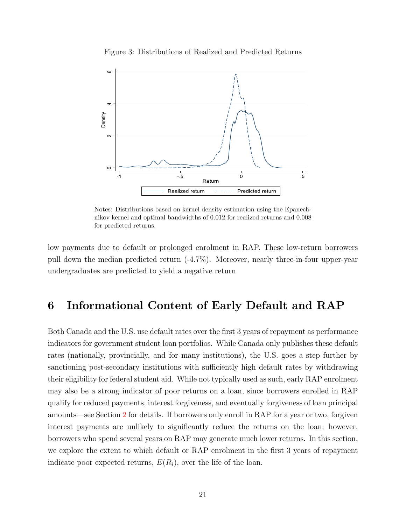<span id="page-22-1"></span>



Notes: Distributions based on kernel density estimation using the Epanechnikov kernel and optimal bandwidths of 0.012 for realized returns and 0.008 for predicted returns.

low payments due to default or prolonged enrolment in RAP. These low-return borrowers pull down the median predicted return (-4.7%). Moreover, nearly three-in-four upper-year undergraduates are predicted to yield a negative return.

## <span id="page-22-0"></span>6 Informational Content of Early Default and RAP

Both Canada and the U.S. use default rates over the first 3 years of repayment as performance indicators for government student loan portfolios. While Canada only publishes these default rates (nationally, provincially, and for many institutions), the U.S. goes a step further by sanctioning post-secondary institutions with sufficiently high default rates by withdrawing their eligibility for federal student aid. While not typically used as such, early RAP enrolment may also be a strong indicator of poor returns on a loan, since borrowers enrolled in RAP qualify for reduced payments, interest forgiveness, and eventually forgiveness of loan principal amounts—see Section [2](#page-5-0) for details. If borrowers only enroll in RAP for a year or two, forgiven interest payments are unlikely to significantly reduce the returns on the loan; however, borrowers who spend several years on RAP may generate much lower returns. In this section, we explore the extent to which default or RAP enrolment in the first 3 years of repayment indicate poor expected returns,  $E(R_i)$ , over the life of the loan.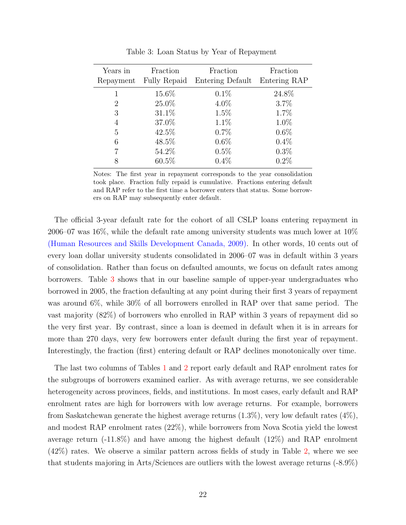<span id="page-23-0"></span>

| Years in<br>Repayment | Fraction<br><b>Fully Repaid</b> | Fraction<br>Entering Default | Fraction<br>Entering RAP |
|-----------------------|---------------------------------|------------------------------|--------------------------|
|                       | 15.6%                           | $0.1\%$                      | 24.8%                    |
| $\overline{2}$        | 25.0%                           | $4.0\%$                      | 3.7%                     |
| 3                     | $31.1\%$                        | $1.5\%$                      | 1.7%                     |
| 4                     | 37.0%                           | $1.1\%$                      | 1.0%                     |
| 5                     | 42.5%                           | 0.7%                         | $0.6\%$                  |
| 6                     | 48.5%                           | $0.6\%$                      | 0.4%                     |
|                       | 54.2%                           | $0.5\%$                      | $0.3\%$                  |
| 8                     | $60.5\%$                        | $0.4\%$                      | 0.2%                     |
|                       |                                 |                              |                          |

Table 3: Loan Status by Year of Repayment

Notes: The first year in repayment corresponds to the year consolidation took place. Fraction fully repaid is cumulative. Fractions entering default and RAP refer to the first time a borrower enters that status. Some borrowers on RAP may subsequently enter default.

The official 3-year default rate for the cohort of all CSLP loans entering repayment in 2006–07 was 16%, while the default rate among university students was much lower at 10% [\(Human Resources and Skills Development Canada,](#page-31-10) [2009\)](#page-31-10). In other words, 10 cents out of every loan dollar university students consolidated in 2006–07 was in default within 3 years of consolidation. Rather than focus on defaulted amounts, we focus on default rates among borrowers. Table [3](#page-23-0) shows that in our baseline sample of upper-year undergraduates who borrowed in 2005, the fraction defaulting at any point during their first 3 years of repayment was around 6%, while 30% of all borrowers enrolled in RAP over that same period. The vast majority (82%) of borrowers who enrolled in RAP within 3 years of repayment did so the very first year. By contrast, since a loan is deemed in default when it is in arrears for more than 270 days, very few borrowers enter default during the first year of repayment. Interestingly, the fraction (first) entering default or RAP declines monotonically over time.

The last two columns of Tables [1](#page-16-0) and [2](#page-18-0) report early default and RAP enrolment rates for the subgroups of borrowers examined earlier. As with average returns, we see considerable heterogeneity across provinces, fields, and institutions. In most cases, early default and RAP enrolment rates are high for borrowers with low average returns. For example, borrowers from Saskatchewan generate the highest average returns  $(1.3\%)$ , very low default rates  $(4\%)$ , and modest RAP enrolment rates (22%), while borrowers from Nova Scotia yield the lowest average return (-11.8%) and have among the highest default (12%) and RAP enrolment  $(42%)$  rates. We observe a similar pattern across fields of study in Table [2,](#page-18-0) where we see that students majoring in Arts/Sciences are outliers with the lowest average returns (-8.9%)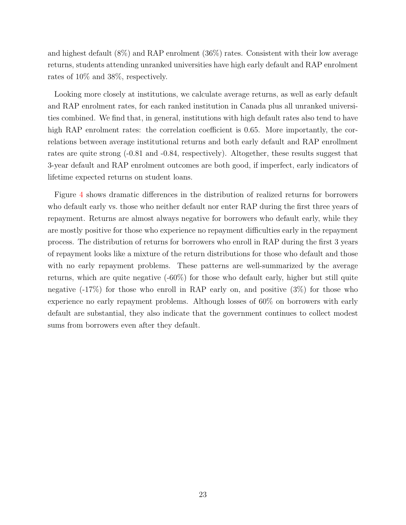and highest default (8%) and RAP enrolment (36%) rates. Consistent with their low average returns, students attending unranked universities have high early default and RAP enrolment rates of 10% and 38%, respectively.

Looking more closely at institutions, we calculate average returns, as well as early default and RAP enrolment rates, for each ranked institution in Canada plus all unranked universities combined. We find that, in general, institutions with high default rates also tend to have high RAP enrolment rates: the correlation coefficient is 0.65. More importantly, the correlations between average institutional returns and both early default and RAP enrollment rates are quite strong (-0.81 and -0.84, respectively). Altogether, these results suggest that 3-year default and RAP enrolment outcomes are both good, if imperfect, early indicators of lifetime expected returns on student loans.

Figure [4](#page-25-1) shows dramatic differences in the distribution of realized returns for borrowers who default early vs. those who neither default nor enter RAP during the first three years of repayment. Returns are almost always negative for borrowers who default early, while they are mostly positive for those who experience no repayment difficulties early in the repayment process. The distribution of returns for borrowers who enroll in RAP during the first 3 years of repayment looks like a mixture of the return distributions for those who default and those with no early repayment problems. These patterns are well-summarized by the average returns, which are quite negative (-60%) for those who default early, higher but still quite negative  $(-17\%)$  for those who enroll in RAP early on, and positive  $(3\%)$  for those who experience no early repayment problems. Although losses of 60% on borrowers with early default are substantial, they also indicate that the government continues to collect modest sums from borrowers even after they default.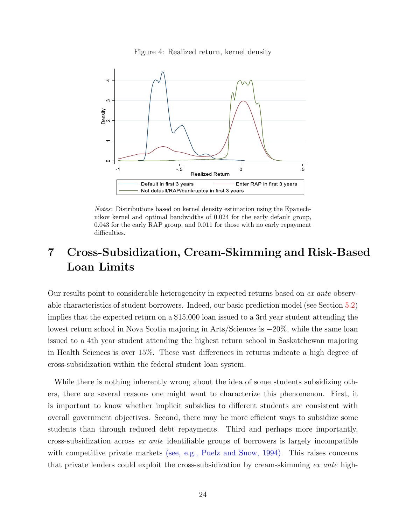

<span id="page-25-1"></span>

Notes: Distributions based on kernel density estimation using the Epanechnikov kernel and optimal bandwidths of 0.024 for the early default group, 0.043 for the early RAP group, and 0.011 for those with no early repayment difficulties.

# <span id="page-25-0"></span>7 Cross-Subsidization, Cream-Skimming and Risk-Based Loan Limits

Our results point to considerable heterogeneity in expected returns based on ex ante observable characteristics of student borrowers. Indeed, our basic prediction model (see Section [5.2\)](#page-18-1) implies that the expected return on a \$15,000 loan issued to a 3rd year student attending the lowest return school in Nova Scotia majoring in Arts/Sciences is −20%, while the same loan issued to a 4th year student attending the highest return school in Saskatchewan majoring in Health Sciences is over 15%. These vast differences in returns indicate a high degree of cross-subsidization within the federal student loan system.

While there is nothing inherently wrong about the idea of some students subsidizing others, there are several reasons one might want to characterize this phenomenon. First, it is important to know whether implicit subsidies to different students are consistent with overall government objectives. Second, there may be more efficient ways to subsidize some students than through reduced debt repayments. Third and perhaps more importantly, cross-subsidization across ex ante identifiable groups of borrowers is largely incompatible with competitive private markets (see, e.g., [Puelz and Snow,](#page-32-7) [1994\)](#page-32-7). This raises concerns that private lenders could exploit the cross-subsidization by cream-skimming ex ante high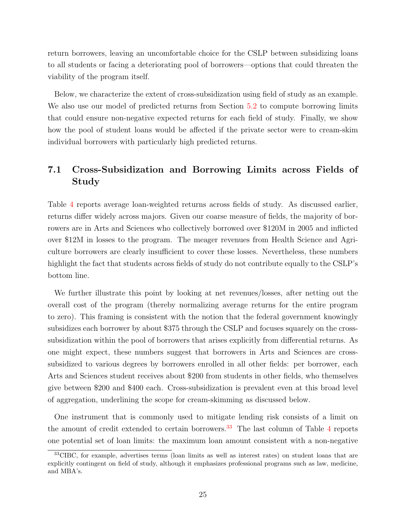return borrowers, leaving an uncomfortable choice for the CSLP between subsidizing loans to all students or facing a deteriorating pool of borrowers—options that could threaten the viability of the program itself.

Below, we characterize the extent of cross-subsidization using field of study as an example. We also use our model of predicted returns from Section [5.2](#page-18-1) to compute borrowing limits that could ensure non-negative expected returns for each field of study. Finally, we show how the pool of student loans would be affected if the private sector were to cream-skim individual borrowers with particularly high predicted returns.

### <span id="page-26-0"></span>7.1 Cross-Subsidization and Borrowing Limits across Fields of Study

Table [4](#page-27-0) reports average loan-weighted returns across fields of study. As discussed earlier, returns differ widely across majors. Given our coarse measure of fields, the majority of borrowers are in Arts and Sciences who collectively borrowed over \$120M in 2005 and inflicted over \$12M in losses to the program. The meager revenues from Health Science and Agriculture borrowers are clearly insufficient to cover these losses. Nevertheless, these numbers highlight the fact that students across fields of study do not contribute equally to the CSLP's bottom line.

We further illustrate this point by looking at net revenues/losses, after netting out the overall cost of the program (thereby normalizing average returns for the entire program to zero). This framing is consistent with the notion that the federal government knowingly subsidizes each borrower by about \$375 through the CSLP and focuses squarely on the crosssubsidization within the pool of borrowers that arises explicitly from differential returns. As one might expect, these numbers suggest that borrowers in Arts and Sciences are crosssubsidized to various degrees by borrowers enrolled in all other fields: per borrower, each Arts and Sciences student receives about \$200 from students in other fields, who themselves give between \$200 and \$400 each. Cross-subsidization is prevalent even at this broad level of aggregation, underlining the scope for cream-skimming as discussed below.

One instrument that is commonly used to mitigate lending risk consists of a limit on the amount of credit extended to certain borrowers.<sup>[33](#page-2-0)</sup> The last column of Table [4](#page-27-0) reports one potential set of loan limits: the maximum loan amount consistent with a non-negative

<sup>33</sup>CIBC, for example, advertises terms (loan limits as well as interest rates) on student loans that are explicitly contingent on field of study, although it emphasizes professional programs such as law, medicine, and MBA's.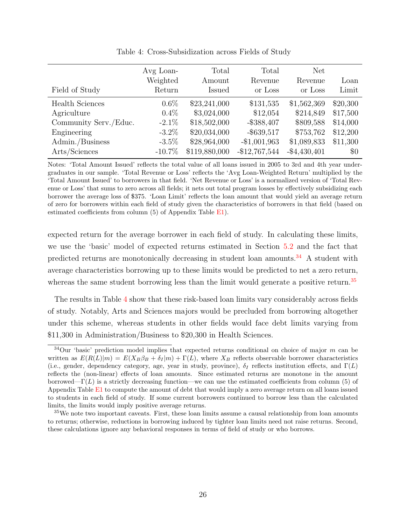<span id="page-27-0"></span>

| Field of Study         | Avg Loan-<br>Weighted<br>Return | Total<br>Amount<br>Issued | Total<br>Revenue<br>or Loss | <b>Net</b><br>Revenue<br>or Loss | Loan<br>Limit |
|------------------------|---------------------------------|---------------------------|-----------------------------|----------------------------------|---------------|
| <b>Health Sciences</b> | $0.6\%$                         | \$23,241,000              | \$131,535                   | \$1,562,369                      | \$20,300      |
| Agriculture            | $0.4\%$                         | \$3,024,000               | \$12,054                    | \$214,849                        | \$17,500      |
| Community Serv./Educ.  | $-2.1\%$                        | \$18,502,000              | $-$ \$388,407               | \$809,588                        | \$14,000      |
| Engineering            | $-3.2\%$                        | \$20,034,000              | $-$ \$639,517               | \$753,762                        | \$12,200      |
| Admin./Business        | $-3.5\%$                        | \$28,964,000              | $-\$1,001,963$              | \$1,089,833                      | \$11,300      |
| Arts/Sciences          | $-10.7\%$                       | \$119,880,000             | $-$12,767,544$              | $-$ \$4,430,401                  | \$0           |

Table 4: Cross-Subsidization across Fields of Study

Notes: 'Total Amount Issued' reflects the total value of all loans issued in 2005 to 3rd and 4th year undergraduates in our sample. 'Total Revenue or Loss' reflects the 'Avg Loan-Weighted Return' multiplied by the 'Total Amount Issued' to borrowers in that field. 'Net Revenue or Loss' is a normalized version of 'Total Revenue or Loss' that sums to zero across all fields; it nets out total program losses by effectively subsidizing each borrower the average loss of \$375. 'Loan Limit' reflects the loan amount that would yield an average return of zero for borrowers within each field of study given the characteristics of borrowers in that field (based on estimated coefficients from column  $(5)$  of Appendix Table  $E1$ ).

expected return for the average borrower in each field of study. In calculating these limits, we use the 'basic' model of expected returns estimated in Section [5.2](#page-18-1) and the fact that predicted returns are monotonically decreasing in student loan amounts.<sup>[34](#page-2-0)</sup> A student with average characteristics borrowing up to these limits would be predicted to net a zero return, whereas the same student borrowing less than the limit would generate a positive return.<sup>[35](#page-2-0)</sup>

The results in Table [4](#page-27-0) show that these risk-based loan limits vary considerably across fields of study. Notably, Arts and Sciences majors would be precluded from borrowing altogether under this scheme, whereas students in other fields would face debt limits varying from \$11,300 in Administration/Business to \$20,300 in Health Sciences.

 $34$ Our 'basic' prediction model implies that expected returns conditional on choice of major m can be written as  $E(R(L)|m) = E(X_B\beta_B + \delta_I|m) + \Gamma(L)$ , where  $X_B$  reflects observable borrower characteristics (i.e., gender, dependency category, age, year in study, province),  $\delta_I$  reflects institution effects, and  $\Gamma(L)$ reflects the (non-linear) effects of loan amounts. Since estimated returns are monotone in the amount borrowed— $\Gamma(L)$  is a strictly decreasing function—we can use the estimated coefficients from column (5) of Appendix Table [E1](#page-49-0) to compute the amount of debt that would imply a zero average return on all loans issued to students in each field of study. If some current borrowers continued to borrow less than the calculated limits, the limits would imply positive average returns.

<sup>35</sup>We note two important caveats. First, these loan limits assume a causal relationship from loan amounts to returns; otherwise, reductions in borrowing induced by tighter loan limits need not raise returns. Second, these calculations ignore any behavioral responses in terms of field of study or who borrows.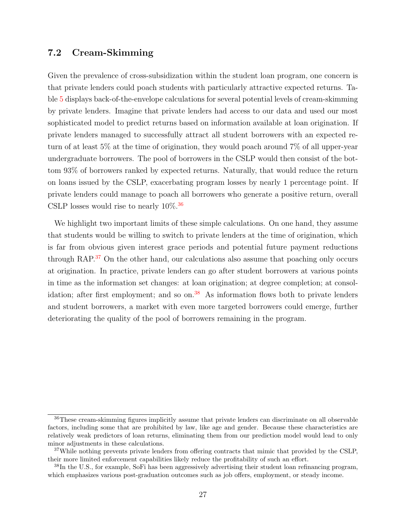### 7.2 Cream-Skimming

Given the prevalence of cross-subsidization within the student loan program, one concern is that private lenders could poach students with particularly attractive expected returns. Table [5](#page-29-1) displays back-of-the-envelope calculations for several potential levels of cream-skimming by private lenders. Imagine that private lenders had access to our data and used our most sophisticated model to predict returns based on information available at loan origination. If private lenders managed to successfully attract all student borrowers with an expected return of at least 5% at the time of origination, they would poach around 7% of all upper-year undergraduate borrowers. The pool of borrowers in the CSLP would then consist of the bottom 93% of borrowers ranked by expected returns. Naturally, that would reduce the return on loans issued by the CSLP, exacerbating program losses by nearly 1 percentage point. If private lenders could manage to poach all borrowers who generate a positive return, overall CSLP losses would rise to nearly  $10\%$ .<sup>[36](#page-2-0)</sup>

We highlight two important limits of these simple calculations. On one hand, they assume that students would be willing to switch to private lenders at the time of origination, which is far from obvious given interest grace periods and potential future payment reductions through RAP.[37](#page-2-0) On the other hand, our calculations also assume that poaching only occurs at origination. In practice, private lenders can go after student borrowers at various points in time as the information set changes: at loan origination; at degree completion; at consolidation; after first employment; and so on. $38$  As information flows both to private lenders and student borrowers, a market with even more targeted borrowers could emerge, further deteriorating the quality of the pool of borrowers remaining in the program.

<sup>36</sup>These cream-skimming figures implicitly assume that private lenders can discriminate on all observable factors, including some that are prohibited by law, like age and gender. Because these characteristics are relatively weak predictors of loan returns, eliminating them from our prediction model would lead to only minor adjustments in these calculations.

<sup>&</sup>lt;sup>37</sup>While nothing prevents private lenders from offering contracts that mimic that provided by the CSLP, their more limited enforcement capabilities likely reduce the profitability of such an effort.

<sup>38</sup>In the U.S., for example, SoFi has been aggressively advertising their student loan refinancing program, which emphasizes various post-graduation outcomes such as job offers, employment, or steady income.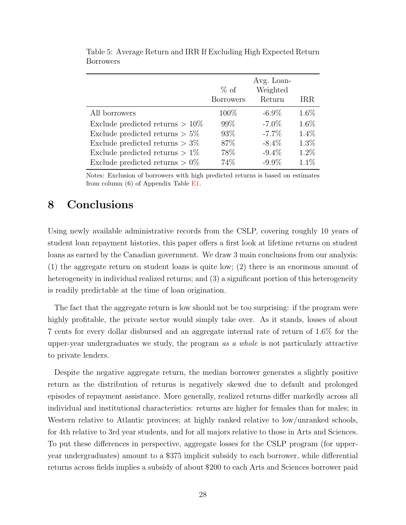|                                    | $\%$ of<br><b>Borrowers</b> | Avg. Loan-<br>Weighted<br>Return | <b>IRR</b> |
|------------------------------------|-----------------------------|----------------------------------|------------|
| All borrowers                      | 100\%                       | $-6.9\%$                         | $1.6\%$    |
| Exclude predicted returns $> 10\%$ | 99%                         | $-7.0\%$                         | 1.6%       |
| Exclude predicted returns $> 5\%$  | 93\%                        | $-7.7\%$                         | $1.4\%$    |
| Exclude predicted returns $> 3\%$  | 87\%                        | $-8.4\%$                         | $1.3\%$    |
| Exclude predicted returns $> 1\%$  | 78\%                        | $-9.4\%$                         | $1.2\%$    |
| Exclude predicted returns $> 0\%$  | 74%                         | $-9.9\%$                         | 1.1%       |

<span id="page-29-1"></span>Table 5: Average Return and IRR If Excluding High Expected Return Borrowers

Notes: Exclusion of borrowers with high predicted returns is based on estimates from column (6) of Appendix Table [E1.](#page-49-0)

# <span id="page-29-0"></span>8 Conclusions

Using newly available administrative records from the CSLP, covering roughly 10 years of student loan repayment histories, this paper offers a first look at lifetime returns on student loans as earned by the Canadian government. We draw 3 main conclusions from our analysis: (1) the aggregate return on student loans is quite low; (2) there is an enormous amount of heterogeneity in individual realized returns; and (3) a significant portion of this heterogeneity is readily predictable at the time of loan origination.

The fact that the aggregate return is low should not be too surprising: if the program were highly profitable, the private sector would simply take over. As it stands, losses of about 7 cents for every dollar disbursed and an aggregate internal rate of return of 1.6% for the upper-year undergraduates we study, the program as a whole is not particularly attractive to private lenders.

Despite the negative aggregate return, the median borrower generates a slightly positive return as the distribution of returns is negatively skewed due to default and prolonged episodes of repayment assistance. More generally, realized returns differ markedly across all individual and institutional characteristics: returns are higher for females than for males; in Western relative to Atlantic provinces; at highly ranked relative to low/unranked schools, for 4th relative to 3rd year students, and for all majors relative to those in Arts and Sciences. To put these differences in perspective, aggregate losses for the CSLP program (for upperyear undergraduates) amount to a \$375 implicit subsidy to each borrower, while differential returns across fields implies a subsidy of about \$200 to each Arts and Sciences borrower paid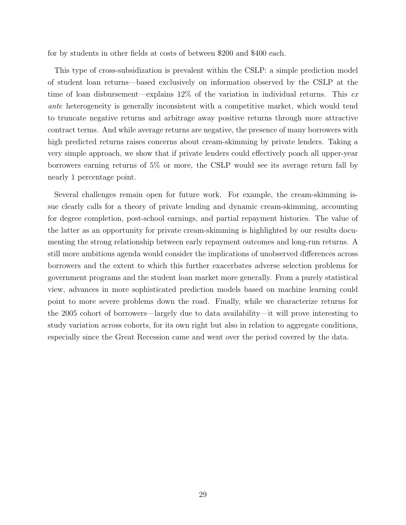for by students in other fields at costs of between \$200 and \$400 each.

This type of cross-subsidization is prevalent within the CSLP: a simple prediction model of student loan returns—based exclusively on information observed by the CSLP at the time of loan disbursement—explains  $12\%$  of the variation in individual returns. This exante heterogeneity is generally inconsistent with a competitive market, which would tend to truncate negative returns and arbitrage away positive returns through more attractive contract terms. And while average returns are negative, the presence of many borrowers with high predicted returns raises concerns about cream-skimming by private lenders. Taking a very simple approach, we show that if private lenders could effectively poach all upper-year borrowers earning returns of 5% or more, the CSLP would see its average return fall by nearly 1 percentage point.

Several challenges remain open for future work. For example, the cream-skimming issue clearly calls for a theory of private lending and dynamic cream-skimming, accounting for degree completion, post-school earnings, and partial repayment histories. The value of the latter as an opportunity for private cream-skimming is highlighted by our results documenting the strong relationship between early repayment outcomes and long-run returns. A still more ambitious agenda would consider the implications of unobserved differences across borrowers and the extent to which this further exacerbates adverse selection problems for government programs and the student loan market more generally. From a purely statistical view, advances in more sophisticated prediction models based on machine learning could point to more severe problems down the road. Finally, while we characterize returns for the 2005 cohort of borrowers—largely due to data availability—it will prove interesting to study variation across cohorts, for its own right but also in relation to aggregate conditions, especially since the Great Recession came and went over the period covered by the data.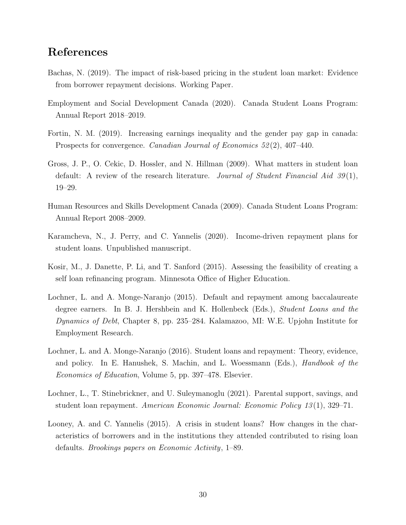## References

- <span id="page-31-1"></span>Bachas, N. (2019). The impact of risk-based pricing in the student loan market: Evidence from borrower repayment decisions. Working Paper.
- <span id="page-31-8"></span>Employment and Social Development Canada (2020). Canada Student Loans Program: Annual Report 2018–2019.
- <span id="page-31-9"></span>Fortin, N. M. (2019). Increasing earnings inequality and the gender pay gap in canada: Prospects for convergence. *Canadian Journal of Economics* 52(2), 407–440.
- <span id="page-31-4"></span>Gross, J. P., O. Cekic, D. Hossler, and N. Hillman (2009). What matters in student loan default: A review of the research literature. Journal of Student Financial Aid  $39(1)$ , 19–29.
- <span id="page-31-10"></span>Human Resources and Skills Development Canada (2009). Canada Student Loans Program: Annual Report 2008–2009.
- <span id="page-31-2"></span>Karamcheva, N., J. Perry, and C. Yannelis (2020). Income-driven repayment plans for student loans. Unpublished manuscript.
- <span id="page-31-7"></span>Kosir, M., J. Danette, P. Li, and T. Sanford (2015). Assessing the feasibility of creating a self loan refinancing program. Minnesota Office of Higher Education.
- <span id="page-31-6"></span>Lochner, L. and A. Monge-Naranjo (2015). Default and repayment among baccalaureate degree earners. In B. J. Hershbein and K. Hollenbeck (Eds.), Student Loans and the Dynamics of Debt, Chapter 8, pp. 235–284. Kalamazoo, MI: W.E. Upjohn Institute for Employment Research.
- <span id="page-31-0"></span>Lochner, L. and A. Monge-Naranjo (2016). Student loans and repayment: Theory, evidence, and policy. In E. Hanushek, S. Machin, and L. Woessmann (Eds.), Handbook of the Economics of Education, Volume 5, pp. 397–478. Elsevier.
- <span id="page-31-3"></span>Lochner, L., T. Stinebrickner, and U. Suleymanoglu (2021). Parental support, savings, and student loan repayment. American Economic Journal: Economic Policy 13 (1), 329–71.
- <span id="page-31-5"></span>Looney, A. and C. Yannelis (2015). A crisis in student loans? How changes in the characteristics of borrowers and in the institutions they attended contributed to rising loan defaults. Brookings papers on Economic Activity, 1–89.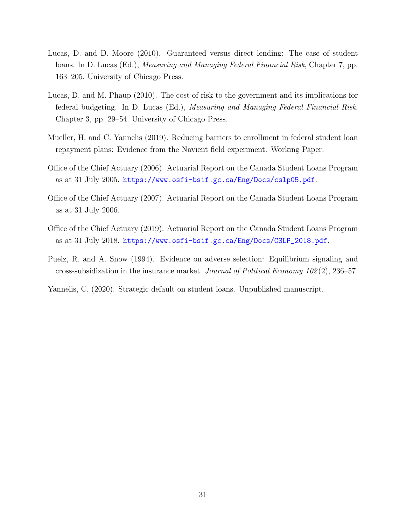- <span id="page-32-5"></span>Lucas, D. and D. Moore (2010). Guaranteed versus direct lending: The case of student loans. In D. Lucas (Ed.), Measuring and Managing Federal Financial Risk, Chapter 7, pp. 163–205. University of Chicago Press.
- <span id="page-32-4"></span>Lucas, D. and M. Phaup (2010). The cost of risk to the government and its implications for federal budgeting. In D. Lucas (Ed.), Measuring and Managing Federal Financial Risk, Chapter 3, pp. 29–54. University of Chicago Press.
- <span id="page-32-0"></span>Mueller, H. and C. Yannelis (2019). Reducing barriers to enrollment in federal student loan repayment plans: Evidence from the Navient field experiment. Working Paper.
- <span id="page-32-6"></span>Office of the Chief Actuary (2006). Actuarial Report on the Canada Student Loans Program as at 31 July 2005. <https://www.osfi-bsif.gc.ca/Eng/Docs/cslp05.pdf>.
- <span id="page-32-2"></span>Office of the Chief Actuary (2007). Actuarial Report on the Canada Student Loans Program as at 31 July 2006.
- <span id="page-32-3"></span>Office of the Chief Actuary (2019). Actuarial Report on the Canada Student Loans Program as at 31 July 2018. [https://www.osfi-bsif.gc.ca/Eng/Docs/CSLP\\_2018.pdf](https://www.osfi-bsif.gc.ca/Eng/Docs/CSLP_2018.pdf).
- <span id="page-32-7"></span>Puelz, R. and A. Snow (1994). Evidence on adverse selection: Equilibrium signaling and cross-subsidization in the insurance market. Journal of Political Economy 102 (2), 236–57.
- <span id="page-32-1"></span>Yannelis, C. (2020). Strategic default on student loans. Unpublished manuscript.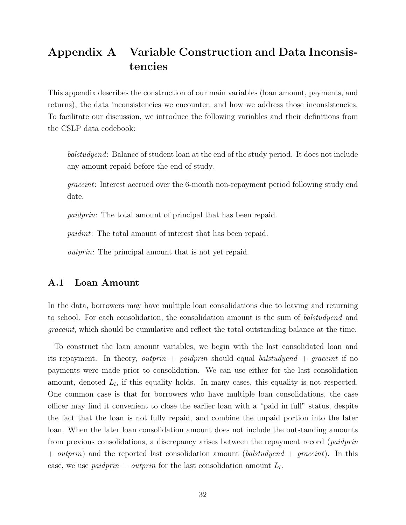# <span id="page-33-0"></span>Appendix A Variable Construction and Data Inconsistencies

This appendix describes the construction of our main variables (loan amount, payments, and returns), the data inconsistencies we encounter, and how we address those inconsistencies. To facilitate our discussion, we introduce the following variables and their definitions from the CSLP data codebook:

balstudyend: Balance of student loan at the end of the study period. It does not include any amount repaid before the end of study.

graceint: Interest accrued over the 6-month non-repayment period following study end date.

paidprin: The total amount of principal that has been repaid.

paidint: The total amount of interest that has been repaid.

outprin: The principal amount that is not yet repaid.

### <span id="page-33-1"></span>A.1 Loan Amount

In the data, borrowers may have multiple loan consolidations due to leaving and returning to school. For each consolidation, the consolidation amount is the sum of balstudyend and graceint, which should be cumulative and reflect the total outstanding balance at the time.

To construct the loan amount variables, we begin with the last consolidated loan and its repayment. In theory, outprin + paidprin should equal balstudyend + graceint if no payments were made prior to consolidation. We can use either for the last consolidation amount, denoted  $L_l$ , if this equality holds. In many cases, this equality is not respected. One common case is that for borrowers who have multiple loan consolidations, the case officer may find it convenient to close the earlier loan with a "paid in full" status, despite the fact that the loan is not fully repaid, and combine the unpaid portion into the later loan. When the later loan consolidation amount does not include the outstanding amounts from previous consolidations, a discrepancy arises between the repayment record (paidprin  $+$  *outprin*) and the reported last consolidation amount (balstudyend  $+$  graceint). In this case, we use *paidprin* + *outprin* for the last consolidation amount  $L_l$ .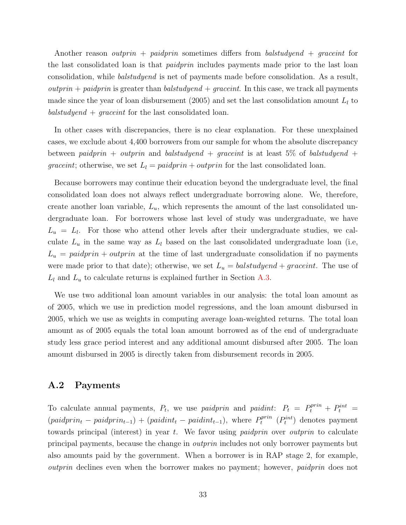Another reason *outprin* + *paidprin* sometimes differs from *balstudyend* + *graceint* for the last consolidated loan is that paidprin includes payments made prior to the last loan consolidation, while balstudyend is net of payments made before consolidation. As a result,  $output + paidprin$  is greater than balstudyend  $+$  graceint. In this case, we track all payments made since the year of loan disbursement (2005) and set the last consolidation amount  $L_l$  to  $balstudyend + *graceint* for the last consolidated loan.$ 

In other cases with discrepancies, there is no clear explanation. For these unexplained cases, we exclude about 4,400 borrowers from our sample for whom the absolute discrepancy between paidprin + outprin and balstudyend + graceint is at least 5% of balstudyend + *graceint*; otherwise, we set  $L_l = p \alpha l \, \partial \rho \, \dot{r}$  in for the last consolidated loan.

Because borrowers may continue their education beyond the undergraduate level, the final consolidated loan does not always reflect undergraduate borrowing alone. We, therefore, create another loan variable,  $L_u$ , which represents the amount of the last consolidated undergraduate loan. For borrowers whose last level of study was undergraduate, we have  $L_u = L_l$ . For those who attend other levels after their undergraduate studies, we calculate  $L_u$  in the same way as  $L_l$  based on the last consolidated undergraduate loan (i.e,  $L_u = paidprin + outprin$  at the time of last undergraduate consolidation if no payments were made prior to that date); otherwise, we set  $L_u = \text{balstudyend} + \text{graceint}$ . The use of  $L_l$  and  $L_u$  to calculate returns is explained further in Section [A.3.](#page-36-0)

We use two additional loan amount variables in our analysis: the total loan amount as of 2005, which we use in prediction model regressions, and the loan amount disbursed in 2005, which we use as weights in computing average loan-weighted returns. The total loan amount as of 2005 equals the total loan amount borrowed as of the end of undergraduate study less grace period interest and any additional amount disbursed after 2005. The loan amount disbursed in 2005 is directly taken from disbursement records in 2005.

#### <span id="page-34-0"></span>A.2 Payments

To calculate annual payments,  $P_t$ , we use *paidprin* and *paidint*:  $P_t = P_t^{prin} + P_t^{int} =$  $(paidprin_t - paidprin_{t-1}) + (paidint_t - paidint_{t-1}),$  where  $P_t^{prin}$  $t^{prin}$  ( $P_t^{int}$ ) denotes payment towards principal (interest) in year t. We favor using paidprin over outprin to calculate principal payments, because the change in outprin includes not only borrower payments but also amounts paid by the government. When a borrower is in RAP stage 2, for example, outprin declines even when the borrower makes no payment; however, paidprin does not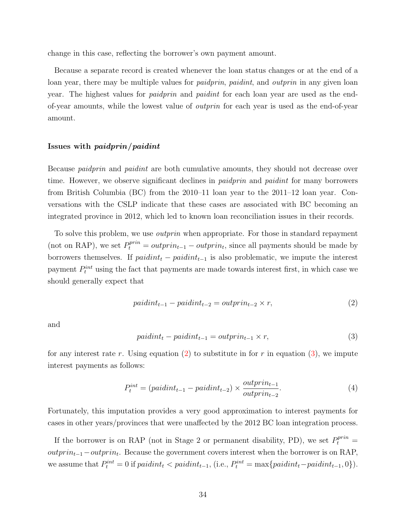change in this case, reflecting the borrower's own payment amount.

Because a separate record is created whenever the loan status changes or at the end of a loan year, there may be multiple values for *paidprin*, *paidint*, and *outprin* in any given loan year. The highest values for *paidprin* and *paidint* for each loan year are used as the endof-year amounts, while the lowest value of outprin for each year is used as the end-of-year amount.

#### Issues with paidprin/paidint

Because *paidprin* and *paidint* are both cumulative amounts, they should not decrease over time. However, we observe significant declines in *paidprin* and *paidint* for many borrowers from British Columbia (BC) from the 2010–11 loan year to the 2011–12 loan year. Conversations with the CSLP indicate that these cases are associated with BC becoming an integrated province in 2012, which led to known loan reconciliation issues in their records.

To solve this problem, we use *outprin* when appropriate. For those in standard repayment (not on RAP), we set  $P_t^{prin} = output_{t-1} - output_{t}$ , since all payments should be made by borrowers themselves. If  $paint_t - paidint_{t-1}$  is also problematic, we impute the interest payment  $P_t^{int}$  using the fact that payments are made towards interest first, in which case we should generally expect that

<span id="page-35-0"></span>
$$
paidint_{t-1} - paidint_{t-2} = outprin_{t-2} \times r,
$$
\n<sup>(2)</sup>

and

<span id="page-35-1"></span>
$$
paidint_t - paidint_{t-1} = outprin_{t-1} \times r,
$$
\n(3)

for any interest rate r. Using equation  $(2)$  to substitute in for r in equation  $(3)$ , we impute interest payments as follows:

$$
P_t^{int} = (paidint_{t-1} - paidint_{t-2}) \times \frac{outprin_{t-1}}{outprin_{t-2}}.\tag{4}
$$

Fortunately, this imputation provides a very good approximation to interest payments for cases in other years/provinces that were unaffected by the 2012 BC loan integration process.

If the borrower is on RAP (not in Stage 2 or permanent disability, PD), we set  $P_t^{prin}$  =  $output_{t-1} - output_{t}$ . Because the government covers interest when the borrower is on RAP, we assume that  $P_t^{int} = 0$  if  $\text{point}_{t} < \text{point}_{t-1}$ , (i.e.,  $P_t^{int} = \max\{\text{point}_{t-1}, 0\}$ ).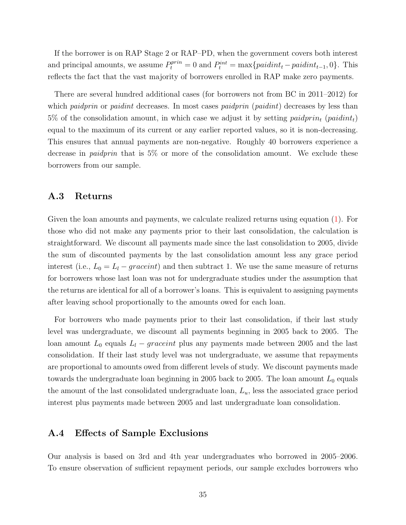If the borrower is on RAP Stage 2 or RAP–PD, when the government covers both interest and principal amounts, we assume  $P_t^{prin} = 0$  and  $P_t^{int} = \max\{paidint_t - paidint_{t-1}, 0\}$ . This reflects the fact that the vast majority of borrowers enrolled in RAP make zero payments.

There are several hundred additional cases (for borrowers not from BC in 2011–2012) for which *paidprin* or *paidint* decreases. In most cases *paidprin* (*paidint*) decreases by less than  $5\%$  of the consolidation amount, in which case we adjust it by setting *paidprin<sub>t</sub>* (*paidint<sub>t</sub>*) equal to the maximum of its current or any earlier reported values, so it is non-decreasing. This ensures that annual payments are non-negative. Roughly 40 borrowers experience a decrease in paidprin that is 5% or more of the consolidation amount. We exclude these borrowers from our sample.

### <span id="page-36-0"></span>A.3 Returns

Given the loan amounts and payments, we calculate realized returns using equation [\(1\)](#page-8-0). For those who did not make any payments prior to their last consolidation, the calculation is straightforward. We discount all payments made since the last consolidation to 2005, divide the sum of discounted payments by the last consolidation amount less any grace period interest (i.e.,  $L_0 = L_l - graceint$ ) and then subtract 1. We use the same measure of returns for borrowers whose last loan was not for undergraduate studies under the assumption that the returns are identical for all of a borrower's loans. This is equivalent to assigning payments after leaving school proportionally to the amounts owed for each loan.

For borrowers who made payments prior to their last consolidation, if their last study level was undergraduate, we discount all payments beginning in 2005 back to 2005. The loan amount  $L_0$  equals  $L_l - gradient$  plus any payments made between 2005 and the last consolidation. If their last study level was not undergraduate, we assume that repayments are proportional to amounts owed from different levels of study. We discount payments made towards the undergraduate loan beginning in 2005 back to 2005. The loan amount  $L_0$  equals the amount of the last consolidated undergraduate loan,  $L<sub>u</sub>$ , less the associated grace period interest plus payments made between 2005 and last undergraduate loan consolidation.

#### A.4 Effects of Sample Exclusions

Our analysis is based on 3rd and 4th year undergraduates who borrowed in 2005–2006. To ensure observation of sufficient repayment periods, our sample excludes borrowers who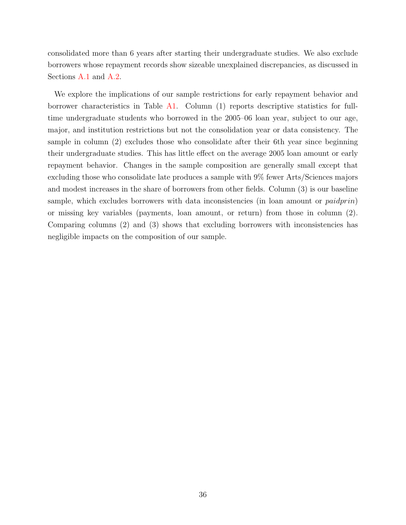consolidated more than 6 years after starting their undergraduate studies. We also exclude borrowers whose repayment records show sizeable unexplained discrepancies, as discussed in Sections [A.1](#page-33-1) and [A.2.](#page-34-0)

We explore the implications of our sample restrictions for early repayment behavior and borrower characteristics in Table [A1.](#page-38-0) Column (1) reports descriptive statistics for fulltime undergraduate students who borrowed in the 2005–06 loan year, subject to our age, major, and institution restrictions but not the consolidation year or data consistency. The sample in column (2) excludes those who consolidate after their 6th year since beginning their undergraduate studies. This has little effect on the average 2005 loan amount or early repayment behavior. Changes in the sample composition are generally small except that excluding those who consolidate late produces a sample with 9% fewer Arts/Sciences majors and modest increases in the share of borrowers from other fields. Column (3) is our baseline sample, which excludes borrowers with data inconsistencies (in loan amount or *paidprin*) or missing key variables (payments, loan amount, or return) from those in column (2). Comparing columns (2) and (3) shows that excluding borrowers with inconsistencies has negligible impacts on the composition of our sample.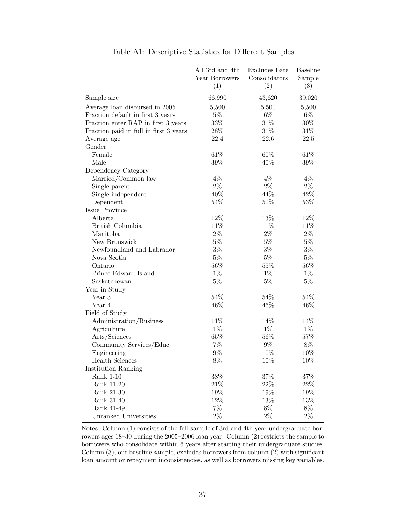<span id="page-38-0"></span>

|                                        | All 3rd and 4th | Excludes Late | <b>Baseline</b> |
|----------------------------------------|-----------------|---------------|-----------------|
|                                        | Year Borrowers  | Consolidators | Sample          |
|                                        | (1)             | (2)           | (3)             |
| Sample size                            | 66,990          | 43,620        | 39,020          |
| Average loan disbursed in 2005         | 5,500           | 5,500         | 5,500           |
| Fraction default in first 3 years      | $5\%$           | $6\%$         | $6\%$           |
| Fraction enter RAP in first 3 years    | $33\%$          | $31\%$        | $30\%$          |
| Fraction paid in full in first 3 years | $28\%$          | $31\%$        | $31\%$          |
| Average age                            | 22.4            | 22.6          | 22.5            |
| Gender                                 |                 |               |                 |
| Female                                 | $61\%$          | 60%           | $61\%$          |
| Male                                   | $39\%$          | 40%           | $39\%$          |
| Dependency Category                    |                 |               |                 |
| Married/Common law                     | $4\%$           | $4\%$         | $4\%$           |
| Single parent                          | $2\%$           | $2\%$         | $2\%$           |
| Single independent                     | 40%             | 44%           | $42\%$          |
| Dependent                              | $54\%$          | $50\%$        | 53%             |
| <b>Issue Province</b>                  |                 |               |                 |
| Alberta                                | 12%             | 13%           | 12%             |
| British Columbia                       | 11%             | 11%           | 11%             |
| Manitoba                               | $2\%$           | $2\%$         | $2\%$           |
| New Brunswick                          | $5\%$           | $5\%$         | $5\%$           |
| Newfoundland and Labrador              | $3\%$           | $3\%$         | $3\%$           |
| Nova Scotia                            | $5\%$           | $5\%$         | $5\%$           |
| Ontario                                | 56%             | $55\%$        | 56%             |
| Prince Edward Island                   | $1\%$           | $1\%$         | $1\%$           |
| Saskatchewan                           | $5\%$           | $5\%$         | $5\%$           |
| Year in Study                          |                 |               |                 |
| Year 3                                 | $54\%$          | 54%           | 54%             |
| Year 4                                 | 46%             | 46%           | 46\%            |
| Field of Study                         |                 |               |                 |
| Administration/Business                | 11%             | 14%           | 14%             |
| Agriculture                            | $1\%$           | $1\%$         | $1\%$           |
| Arts/Sciences                          | 65%             | $56\%$        | 57%             |
| Community Services/Educ.               | 7%              | $9\%$         | $8\%$           |
| Engineering                            | $9\%$           | 10%           | 10%             |
| <b>Health Sciences</b>                 | $8\%$           | 10\%          | 10%             |
| Institution Ranking                    |                 |               |                 |
| Rank 1-10                              | $38\%$          | $37\%$        | $37\%$          |
| Rank 11-20                             | 21\%            | $22\%$        | $22\%$          |
| Rank 21-30                             | 19%             | 19%           | 19%             |
| Rank 31-40                             | 12%             | 13%           | 13%             |
| Rank 41-49                             | $7\%$           | 8%            | 8%              |
| Unranked Universities                  | $2\%$           | $2\%$         | $2\%$           |

Table A1: Descriptive Statistics for Different Samples

Notes: Column (1) consists of the full sample of 3rd and 4th year undergraduate borrowers ages 18–30 during the 2005–2006 loan year. Column (2) restricts the sample to borrowers who consolidate within 6 years after starting their undergraduate studies. Column (3), our baseline sample, excludes borrowers from column (2) with significant loan amount or repayment inconsistencies, as well as borrowers missing key variables.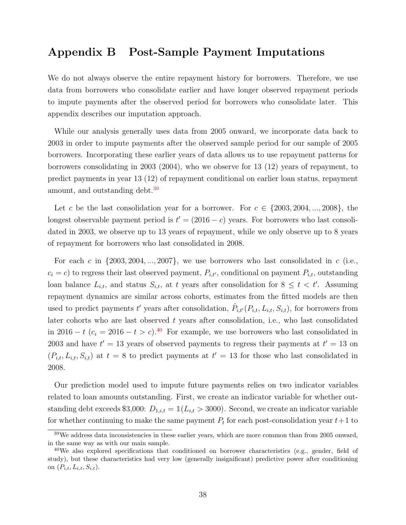## <span id="page-39-0"></span>Appendix B Post-Sample Payment Imputations

We do not always observe the entire repayment history for borrowers. Therefore, we use data from borrowers who consolidate earlier and have longer observed repayment periods to impute payments after the observed period for borrowers who consolidate later. This appendix describes our imputation approach.

While our analysis generally uses data from 2005 onward, we incorporate data back to 2003 in order to impute payments after the observed sample period for our sample of 2005 borrowers. Incorporating these earlier years of data allows us to use repayment patterns for borrowers consolidating in 2003 (2004), who we observe for 13 (12) years of repayment, to predict payments in year 13 (12) of repayment conditional on earlier loan status, repayment amount, and outstanding debt.<sup>[39](#page-2-0)</sup>

Let c be the last consolidation year for a borrower. For  $c \in \{2003, 2004, ..., 2008\}$ , the longest observable payment period is  $t' = (2016 - c)$  years. For borrowers who last consolidated in 2003, we observe up to 13 years of repayment, while we only observe up to 8 years of repayment for borrowers who last consolidated in 2008.

For each c in  $\{2003, 2004, ..., 2007\}$ , we use borrowers who last consolidated in c (i.e.,  $c_i = c$ ) to regress their last observed payment,  $P_{i,t'}$ , conditional on payment  $P_{i,t}$ , outstanding loan balance  $L_{i,t}$ , and status  $S_{i,t}$ , at t years after consolidation for  $8 \leq t \leq t'$ . Assuming repayment dynamics are similar across cohorts, estimates from the fitted models are then used to predict payments t' years after consolidation,  $\hat{P}_{i,t'}(P_{i,t}, L_{i,t}, S_{i,t})$ , for borrowers from later cohorts who are last observed  $t$  years after consolidation, i.e., who last consolidated in 2016 − t ( $c_i = 2016 - t > c$ ).<sup>[40](#page-2-0)</sup> For example, we use borrowers who last consolidated in 2003 and have  $t' = 13$  years of observed payments to regress their payments at  $t' = 13$  on  $(P_{i,t}, L_{i,t}, S_{i,t})$  at  $t = 8$  to predict payments at  $t' = 13$  for those who last consolidated in 2008.

Our prediction model used to impute future payments relies on two indicator variables related to loan amounts outstanding. First, we create an indicator variable for whether outstanding debt exceeds \$3,000:  $D_{1,i,t} = \mathbb{1}(L_{i,t} > 3000)$ . Second, we create an indicator variable for whether continuing to make the same payment  $P_t$  for each post-consolidation year  $t+1$  to

<sup>39</sup>We address data inconsistencies in these earlier years, which are more common than from 2005 onward, in the same way as with our main sample.

<sup>&</sup>lt;sup>40</sup>We also explored specifications that conditioned on borrower characteristics (e.g., gender, field of study), but these characteristics had very low (generally insignificant) predictive power after conditioning on  $(P_{i,t}, L_{i,t}, S_{i,t}).$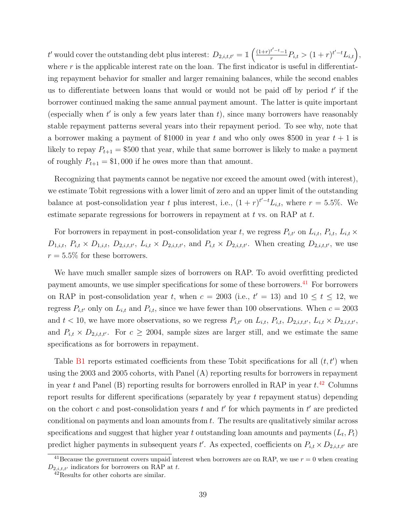t' would cover the outstanding debt plus interest:  $D_{2,i,t,t'} = \mathbbm{1} \left( \frac{(1+r)^{t'-t}-1}{r} \right)$  $\frac{t'-t-1}{r}P_{i,t} > (1+r)^{t'-t}L_{i,t}\big),$ where  $r$  is the applicable interest rate on the loan. The first indicator is useful in differentiating repayment behavior for smaller and larger remaining balances, while the second enables us to differentiate between loans that would or would not be paid off by period  $t'$  if the borrower continued making the same annual payment amount. The latter is quite important (especially when  $t'$  is only a few years later than  $t$ ), since many borrowers have reasonably stable repayment patterns several years into their repayment period. To see why, note that a borrower making a payment of \$1000 in year t and who only owes \$500 in year  $t + 1$  is likely to repay  $P_{t+1} = $500$  that year, while that same borrower is likely to make a payment of roughly  $P_{t+1} = $1,000$  if he owes more than that amount.

Recognizing that payments cannot be negative nor exceed the amount owed (with interest), we estimate Tobit regressions with a lower limit of zero and an upper limit of the outstanding balance at post-consolidation year t plus interest, i.e.,  $(1+r)^{t'-t}L_{i,t}$ , where  $r = 5.5\%$ . We estimate separate regressions for borrowers in repayment at  $t$  vs. on RAP at  $t$ .

For borrowers in repayment in post-consolidation year t, we regress  $P_{i,t'}$  on  $L_{i,t}$ ,  $P_{i,t}$ ,  $L_{i,t}$   $\times$  $D_{1,i,t}, P_{i,t} \times D_{1,i,t}, D_{2,i,t,t'}, L_{i,t} \times D_{2,i,t,t'},$  and  $P_{i,t} \times D_{2,i,t,t'}$ . When creating  $D_{2,i,t,t'}$ , we use  $r = 5.5\%$  for these borrowers.

We have much smaller sample sizes of borrowers on RAP. To avoid overfitting predicted payment amounts, we use simpler specifications for some of these borrowers.<sup>[41](#page-2-0)</sup> For borrowers on RAP in post-consolidation year t, when  $c = 2003$  (i.e.,  $t' = 13$ ) and  $10 \le t \le 12$ , we regress  $P_{i,t'}$  only on  $L_{i,t}$  and  $P_{i,t}$ , since we have fewer than 100 observations. When  $c = 2003$ and  $t < 10$ , we have more observations, so we regress  $P_{i,t'}$  on  $L_{i,t}$ ,  $P_{i,t}$ ,  $D_{2,i,t,t'}$ ,  $L_{i,t} \times D_{2,i,t,t'}$ , and  $P_{i,t} \times D_{2,i,t,t'}$ . For  $c \ge 2004$ , sample sizes are larger still, and we estimate the same specifications as for borrowers in repayment.

Table  $B1$  reports estimated coefficients from these Tobit specifications for all  $(t, t')$  when using the 2003 and 2005 cohorts, with Panel (A) reporting results for borrowers in repayment in year t and Panel (B) reporting results for borrowers enrolled in RAP in year  $t^{12}$  Columns report results for different specifications (separately by year t repayment status) depending on the cohort c and post-consolidation years t and  $t'$  for which payments in  $t'$  are predicted conditional on payments and loan amounts from t. The results are qualitatively similar across specifications and suggest that higher year t outstanding loan amounts and payments  $(L_t, P_t)$ predict higher payments in subsequent years t'. As expected, coefficients on  $P_{i,t} \times D_{2,i,t,t'}$  are

<sup>&</sup>lt;sup>41</sup>Because the government covers unpaid interest when borrowers are on RAP, we use  $r = 0$  when creating  $D_{2,i,t,t'}$  indicators for borrowers on RAP at t.

<sup>42</sup>Results for other cohorts are similar.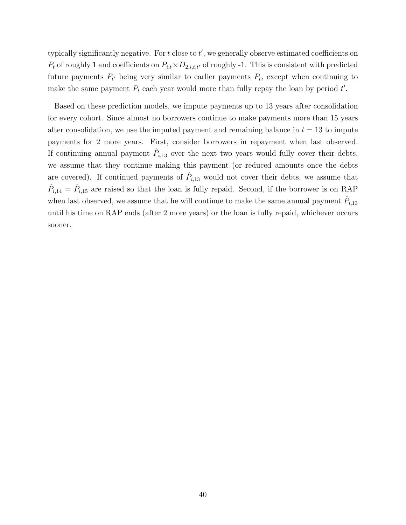typically significantly negative. For  $t$  close to  $t'$ , we generally observe estimated coefficients on  $P_t$  of roughly 1 and coefficients on  $P_{i,t} \times D_{2,i,t,t'}$  of roughly -1. This is consistent with predicted future payments  $P_{t'}$  being very similar to earlier payments  $P_t$ , except when continuing to make the same payment  $P_t$  each year would more than fully repay the loan by period  $t'$ .

Based on these prediction models, we impute payments up to 13 years after consolidation for every cohort. Since almost no borrowers continue to make payments more than 15 years after consolidation, we use the imputed payment and remaining balance in  $t = 13$  to impute payments for 2 more years. First, consider borrowers in repayment when last observed. If continuing annual payment  $\hat{P}_{i,13}$  over the next two years would fully cover their debts, we assume that they continue making this payment (or reduced amounts once the debts are covered). If continued payments of  $\hat{P}_{i,13}$  would not cover their debts, we assume that  $\hat{P}_{i,14} = \hat{P}_{i,15}$  are raised so that the loan is fully repaid. Second, if the borrower is on RAP when last observed, we assume that he will continue to make the same annual payment  $\hat{P}_{i,13}$ until his time on RAP ends (after 2 more years) or the loan is fully repaid, whichever occurs sooner.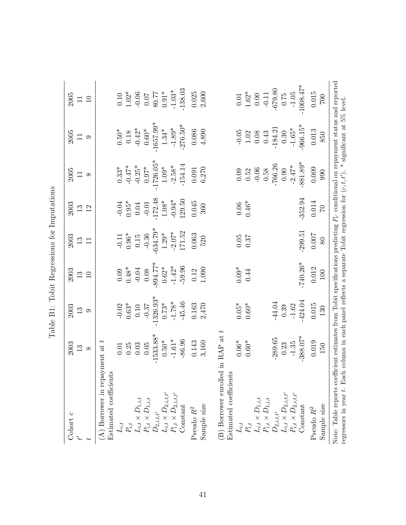<span id="page-42-0"></span>

|                                                                                                                                                                                                                                                                        |                                   | даріе Б1: 10D1t Kegressions for imputations |               |                    |                |             |               |                      |
|------------------------------------------------------------------------------------------------------------------------------------------------------------------------------------------------------------------------------------------------------------------------|-----------------------------------|---------------------------------------------|---------------|--------------------|----------------|-------------|---------------|----------------------|
| Cohort c                                                                                                                                                                                                                                                               | 2003                              | 2003                                        | 2003          | 2003               | 2003           | 2005        | 2005          | 2005                 |
|                                                                                                                                                                                                                                                                        | 13                                | 13                                          | 13            | $13\,$             | $13\,$         | $\Box$      | $\Box$        | $\Box$               |
|                                                                                                                                                                                                                                                                        | $\infty$                          | $\circ$                                     | $\Box$        | $\Box$             | 12             | $\infty$    | $\circ$       | $\Box$               |
| (A) Borrower in repayment at $t$                                                                                                                                                                                                                                       |                                   |                                             |               |                    |                |             |               |                      |
| Estimated coefficients                                                                                                                                                                                                                                                 |                                   |                                             |               |                    |                |             |               |                      |
| $L_{i,t}$                                                                                                                                                                                                                                                              | 0.01                              | $-0.02$                                     | 0.09          | $-0.11$            | $-0.04$        | $0.33*$     | $0.50^{\ast}$ | $0.10\,$             |
|                                                                                                                                                                                                                                                                        | 0.25                              | $0.63*$                                     | $0.48*$       | $0.96*$            | $0.95*$        | $-0.47*$    | $0.18\,$      | $1.02*$              |
| $\begin{array}{l} P_{i,t} \\ L_{i,t}\times D_{1,i,t} \\ P_{i,t}\times D_{1,i,t} \\ D_{2,i,t,t'} \\ L_{i,t}\times D_{2,i,t,t'} \\ P_{i,t}\times D_{2,i,t,t'} \end{array}$                                                                                               | 0.03                              | $0.10\,$                                    | $-0.04$       | 0.15               | $0.04\,$       | $-0.25*$    | $-0.42*$      | $\frac{20.06}{0.07}$ |
|                                                                                                                                                                                                                                                                        | 0.05                              | $-0.37$                                     | $0.08\,$      | $-0.36$            | $-0.01$        | $0.97*$     | $0.60\sp{*}$  |                      |
|                                                                                                                                                                                                                                                                        | $-1533.88*$                       | $1326.93*$                                  | $-894.77*$    | $-634.79*$         | $-172.48$      | $-1726.05*$ | $-1657.99*$   | $80.77\,$            |
|                                                                                                                                                                                                                                                                        | $0.50\ensuremath{^{\ast}}\xspace$ | $0.73*$                                     | $0.62^*$      | $1.29*$            | $1.08^*$       | $1.09^{*}$  | $1.34*$       | $0.91*$              |
|                                                                                                                                                                                                                                                                        | $-1.61*$                          | $-1.78*$                                    | $-1.42*$      | $-2.07*$<br>171.52 | $-0.94*$       | $-2.58*$    | $-1.89*$      | $-1.03*$             |
| <b>Constant</b>                                                                                                                                                                                                                                                        | $-86.96$                          | $-45.46$                                    | $-59.96$      |                    | 129.50         | $-154.14$   | $-276.50*$    | $-138.03$            |
| Pseudo $\mathbb{R}^2$                                                                                                                                                                                                                                                  | 0.143                             | 0.163                                       | 0.12          | 0.063              | $0.045\,$      | $\!0.091$   | 0.086         | 0.025                |
| Sample size                                                                                                                                                                                                                                                            | 3,160                             | 2,470                                       | 1,090         | 520                | 360            | 6,270       | 4,890         | 2,600                |
| (B) Borrower enroll                                                                                                                                                                                                                                                    | led in RAP at $t$                 |                                             |               |                    |                |             |               |                      |
| Estimated coefficients                                                                                                                                                                                                                                                 |                                   |                                             |               |                    |                |             |               |                      |
| $L_{i,t}$                                                                                                                                                                                                                                                              | $0.06\sp{*}$                      | $0.05*$                                     | $0.09^{\ast}$ | 0.05               | $0.06\,$       | 0.09        | $-0.05$       | $0.01\,$             |
|                                                                                                                                                                                                                                                                        | $0.60*$                           | $0.60*$                                     | 0.44          | 0.37               | $0.46*$        | $0.52\,$    | $1.02\,$      | $1.62^*$             |
| $\begin{array}{l} P_{i,t} \\ L_{i,t}\times D_{1,i,t} \\ P_{i,t}\times D_{1,i,t} \\ D_{2,i,t,t'} \\ L_{i,t}\times D_{2,i,t,t'} \\ F_{i,t}\times D_{2,i,t,t'} \end{array}$                                                                                               |                                   |                                             |               |                    |                | $-0.06$     | $0.08\,$      | $0.00$               |
|                                                                                                                                                                                                                                                                        |                                   |                                             |               |                    |                | $0.58\,$    | 0.43          | $-0.11$              |
|                                                                                                                                                                                                                                                                        | $-289.65$                         | $-44.04$                                    |               |                    |                | $-766.26$   | $-184.21$     | $-679.80$            |
|                                                                                                                                                                                                                                                                        | 0.23                              | $0.39\,$                                    |               |                    |                | 0.90        | $0.30\,$      | 0.75                 |
|                                                                                                                                                                                                                                                                        | $-1.35$                           | $-1.62$                                     |               |                    |                | $-2.47*$    | $-1.65*$      | $-1.05$              |
| Constant                                                                                                                                                                                                                                                               | $-388.07*$                        | $-424.04$                                   | $-740.26*$    | $-299.51$          | $-352.94$      | $-881.89*$  | $-966.15*$    | $-1008.47*$          |
| Pseudo $\mathbb{R}^2$                                                                                                                                                                                                                                                  | 0.019                             | 0.015                                       | 0.012         | 0.007              | 0.014          | 0.009       | 0.013         | $0.015\,$            |
| Sample size                                                                                                                                                                                                                                                            | 150                               | 130                                         | 100           | 80                 | $\overline{C}$ | 990         | 850           | 700                  |
| Note: Table reports coefficient estimates from Tobit specifications predicting $P_t$ conditional on repayment status and reported<br>regressors in year t. Each column in each panel reflects a separate Tobit regression for $(c, t, t')$ . * significant at 5% level |                                   |                                             |               |                    |                |             |               |                      |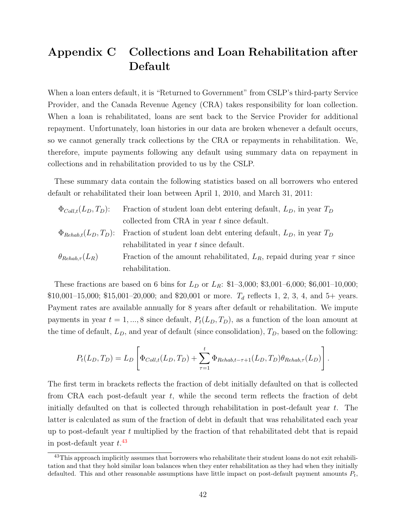# <span id="page-43-0"></span>Appendix C Collections and Loan Rehabilitation after Default

When a loan enters default, it is "Returned to Government" from CSLP's third-party Service Provider, and the Canada Revenue Agency (CRA) takes responsibility for loan collection. When a loan is rehabilitated, loans are sent back to the Service Provider for additional repayment. Unfortunately, loan histories in our data are broken whenever a default occurs, so we cannot generally track collections by the CRA or repayments in rehabilitation. We, therefore, impute payments following any default using summary data on repayment in collections and in rehabilitation provided to us by the CSLP.

These summary data contain the following statistics based on all borrowers who entered default or rehabilitated their loan between April 1, 2010, and March 31, 2011:

| $\Phi_{Coll,t}(L_D,T_D)$ : | Fraction of student loan debt entering default, $L_D$ , in year $T_D$                              |
|----------------------------|----------------------------------------------------------------------------------------------------|
|                            | collected from CRA in year $t$ since default.                                                      |
|                            | $\Phi_{Rehab,t}(L_D, T_D)$ : Fraction of student loan debt entering default, $L_D$ , in year $T_D$ |
|                            | rehabilitated in year t since default.                                                             |
| $\theta_{Rehab,\tau}(L_R)$ | Fraction of the amount rehabilitated, $L_R$ , repaid during year $\tau$ since                      |
|                            | rehabilitation.                                                                                    |

These fractions are based on 6 bins for  $L_D$  or  $L_R$ : \$1-3,000; \$3,001-6,000; \$6,001-10,000; \$10,001–15,000; \$15,001–20,000; and \$20,001 or more.  $T_d$  reflects 1, 2, 3, 4, and 5+ years. Payment rates are available annually for 8 years after default or rehabilitation. We impute payments in year  $t = 1, ..., 8$  since default,  $P_t(L_D, T_D)$ , as a function of the loan amount at the time of default,  $L_D$ , and year of default (since consolidation),  $T_D$ , based on the following:

$$
P_t(L_D, T_D) = L_D \left[ \Phi_{Coll, t}(L_D, T_D) + \sum_{\tau=1}^t \Phi_{Rehab, t-\tau+1}(L_D, T_D) \theta_{Rehab, \tau}(L_D) \right]
$$

.

The first term in brackets reflects the fraction of debt initially defaulted on that is collected from CRA each post-default year  $t$ , while the second term reflects the fraction of debt initially defaulted on that is collected through rehabilitation in post-default year  $t$ . The latter is calculated as sum of the fraction of debt in default that was rehabilitated each year up to post-default year t multiplied by the fraction of that rehabilitated debt that is repaid in post-default year  $t^{43}$  $t^{43}$  $t^{43}$ 

<sup>&</sup>lt;sup>43</sup>This approach implicitly assumes that borrowers who rehabilitate their student loans do not exit rehabilitation and that they hold similar loan balances when they enter rehabilitation as they had when they initially defaulted. This and other reasonable assumptions have little impact on post-default payment amounts  $P_t$ ,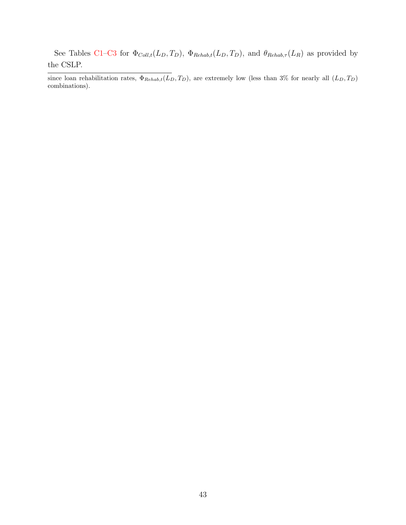See Tables [C1–](#page-45-0)[C3](#page-47-0) for  $\Phi_{Coll,t}(L_D, T_D)$ ,  $\Phi_{Rehab,t}(L_D, T_D)$ , and  $\theta_{Rehab,\tau}(L_R)$  as provided by the CSLP.

since loan rehabilitation rates,  $\Phi_{Rehab,t}(L_D, T_D)$ , are extremely low (less than 3% for nearly all  $(L_D, T_D)$ ) combinations).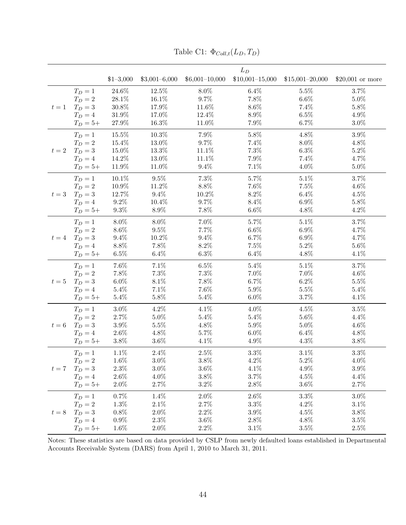<span id="page-45-0"></span>

|         |             |            |                  |                 | $L_D$            |                  |                   |
|---------|-------------|------------|------------------|-----------------|------------------|------------------|-------------------|
|         |             | $$1-3,000$ | $$3,001 - 6,000$ | $$6,001-10,000$ | $$10,001-15,000$ | $$15,001-20,000$ | $$20,001$ or more |
|         | $T_D=1$     | 24.6%      | 12.5%            | 8.0%            | $6.4\%$          | 5.5%             | 3.7%              |
|         | $T_D=2$     | 28.1%      | 16.1%            | 9.7%            | 7.8%             | $6.6\%$          | $5.0\%$           |
| $t=1$   | $T_D=3$     | $30.8\%$   | 17.9%            | 11.6%           | $8.6\%$          | 7.4%             | $5.8\%$           |
|         | $T_D=4$     | 31.9%      | 17.0%            | 12.4%           | $8.9\%$          | $6.5\%$          | 4.9%              |
|         | $T_D = 5 +$ | 27.9%      | 16.3%            | 11.0%           | 7.9%             | $6.7\%$          | $3.0\%$           |
|         | $T_D=1$     | 15.5%      | $10.3\%$         | 7.9%            | $5.8\%$          | 4.8%             | $3.9\%$           |
|         | $T_D=2$     | 15.4%      | 13.0%            | 9.7%            | 7.4%             | $8.0\%$          | 4.8%              |
| $t=2$   | $T_D=3$     | 15.0%      | 13.3%            | 11.1%           | 7.3%             | $6.3\%$          | $5.2\%$           |
|         | $T_D=4$     | 14.2%      | 13.0%            | 11.1%           | 7.9%             | 7.4%             | 4.7%              |
|         | $T_D = 5 +$ | 11.9%      | 11.0%            | $9.4\%$         | 7.1%             | $4.0\%$          | $5.0\%$           |
|         | $T_D=1$     | 10.1%      | $9.5\%$          | $7.3\%$         | $5.7\%$          | $5.1\%$          | 3.7%              |
|         | $T_D=2$     | 10.9%      | 11.2%            | 8.8%            | 7.6%             | 7.5%             | $4.6\%$           |
| $t=3$   | $T_D=3$     | 12.7%      | $9.4\%$          | 10.2%           | $8.2\%$          | $6.4\%$          | 4.5%              |
|         | $T_D=4$     | $9.2\%$    | 10.4%            | 9.7%            | $8.4\%$          | $6.9\%$          | 5.8%              |
|         | $T_D = 5 +$ | $9.3\%$    | 8.9%             | 7.8%            | $6.6\%$          | $4.8\%$          | 4.2%              |
|         | $T_D=1$     | $8.0\%$    | $8.0\%$          | 7.0%            | $5.7\%$          | $5.1\%$          | $3.7\%$           |
|         | $T_D=2$     | $8.6\%$    | $9.5\%$          | 7.7%            | $6.6\%$          | $6.9\%$          | 4.7%              |
| $t=4$   | $T_D=3$     | 9.4%       | 10.2%            | $9.4\%$         | $6.7\%$          | $6.9\%$          | 4.7%              |
|         | $T_D=4$     | $8.8\%$    | 7.8%             | 8.2%            | 7.5%             | $5.2\%$          | $5.6\%$           |
|         | $T_D=5+\,$  | $6.5\%$    | $6.4\%$          | $6.3\%$         | $6.4\%$          | 4.8%             | 4.1%              |
|         | $T_D=1$     | $7.6\%$    | 7.1%             | $6.5\%$         | $5.4\%$          | $5.1\%$          | $3.7\%$           |
|         | $T_D=2$     | 7.8%       | $7.3\%$          | 7.3%            | 7.0%             | 7.0%             | $4.6\%$           |
| $t=5$   | $T_D=3$     | $6.0\%$    | 8.1%             | 7.8%            | $6.7\%$          | $6.2\%$          | 5.5%              |
|         | $T_D=4$     | 5.4%       | 7.1%             | 7.6%            | $5.9\%$          | $5.5\%$          | $5.4\%$           |
|         | $T_D = 5 +$ | $5.4\%$    | $5.8\%$          | $5.4\%$         | $6.0\%$          | $3.7\%$          | $4.1\%$           |
|         | $T_D=1$     | $3.0\%$    | $4.2\%$          | 4.1%            | $4.0\%$          | $4.5\%$          | $3.5\%$           |
|         | $T_D=2$     | 2.7%       | $5.0\%$          | $5.4\%$         | $5.4\%$          | $5.6\%$          | $4.4\%$           |
| $t=6$   | $T_D=3$     | $3.9\%$    | 5.5%             | 4.8%            | 5.9%             | $5.0\%$          | $4.6\%$           |
|         | $T_D=4$     | $2.6\%$    | 4.8%             | 5.7%            | $6.0\%$          | $6.4\%$          | 4.8%              |
|         | $T_D = 5 +$ | $3.8\%$    | $3.6\%$          | 4.1%            | $4.9\%$          | $4.3\%$          | $3.8\%$           |
|         | $T_D=1$     | 1.1%       | $2.4\%$          | $2.5\%$         | $3.3\%$          | $3.1\%$          | $3.3\%$           |
|         | $T_D=2$     | $1.6\%$    | $3.0\%$          | $3.8\%$         | $4.2\%$          | $5.2\%$          | $4.0\%$           |
| $t=7$   | $T_D=3$     | 2.3%       | $3.0\%$          | $3.6\%$         | 4.1%             | $4.9\%$          | $3.9\%$           |
|         | $T_D=4$     | $2.6\%$    | 4.0%             | 3.8%            | $3.7\%$          | 4.5%             | $4.4\%$           |
|         | $T_D = 5 +$ | $2.0\%$    | 2.7%             | $3.2\%$         | 2.8%             | $3.6\%$          | 2.7%              |
|         | $T_D=1$     | 0.7%       | 1.4%             | $2.0\%$         | $2.6\%$          | $3.3\%$          | $3.0\%$           |
|         | $T_D=2$     | 1.3%       | $2.1\%$          | 2.7%            | 3.3%             | $4.2\%$          | $3.1\%$           |
| $t=8\,$ | $T_D=3$     | 0.8%       | $2.0\%$          | $2.2\%$         | $3.9\%$          | $4.5\%$          | 3.8%              |
|         | $T_D=4$     | $0.9\%$    | $2.3\%$          | $3.6\%$         | 2.8%             | 4.8%             | 3.5%              |
|         | $T_D = 5 +$ | 1.6%       | $2.0\%$          | $2.2\%$         | $3.1\%$          | 3.5%             | 2.5%              |

Table C1:  $\Phi_{Coll,t}(L_D, T_D)$ 

Notes: These statistics are based on data provided by CSLP from newly defaulted loans established in Departmental Accounts Receivable System (DARS) from April 1, 2010 to March 31, 2011.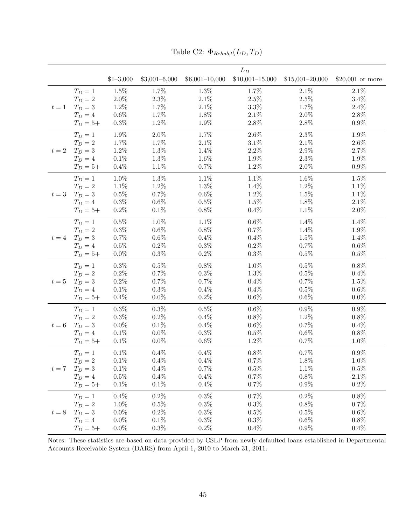|         |             |            |                  |                 | $L_D$            |                  |                   |
|---------|-------------|------------|------------------|-----------------|------------------|------------------|-------------------|
|         |             | $$1-3,000$ | $$3,001 - 6,000$ | $$6,001-10,000$ | $$10,001-15,000$ | $$15,001-20,000$ | $$20,001$ or more |
|         | $T_D=1$     | $1.5\%$    | 1.7%             | $1.3\%$         | 1.7%             | 2.1%             | 2.1%              |
|         | $T_D=2$     | $2.0\%$    | $2.3\%$          | $2.1\%$         | 2.5%             | $2.5\%$          | $3.4\%$           |
| $t=1$   | $T_D=3$     | $1.2\%$    | 1.7%             | 2.1%            | $3.3\%$          | 1.7%             | 2.4%              |
|         | $T_D=4$     | $0.6\%$    | 1.7%             | 1.8%            | 2.1%             | $2.0\%$          | 2.8%              |
|         | $T_D = 5 +$ | $0.3\%$    | $1.2\%$          | 1.9%            | $2.8\%$          | 2.8%             | $0.9\%$           |
|         | $T_D=1$     | $1.9\%$    | $2.0\%$          | 1.7%            | $2.6\%$          | $2.3\%$          | 1.9%              |
|         | $T_D=2$     | 1.7%       | 1.7%             | $2.1\%$         | $3.1\%$          | 2.1%             | $2.6\%$           |
| $t=2$   | $T_D=3$     | $1.2\%$    | $1.3\%$          | 1.4%            | $2.2\%$          | 2.9%             | 2.7%              |
|         | $T_D=4$     | $0.1\%$    | $1.3\%$          | $1.6\%$         | 1.9%             | $2.3\%$          | 1.9%              |
|         | $T_D = 5 +$ | $0.4\%$    | $1.1\%$          | 0.7%            | $1.2\%$          | $2.0\%$          | $0.9\%$           |
|         | $T_D=1$     | $1.0\%$    | $1.3\%$          | $1.1\%$         | $1.1\%$          | $1.6\%$          | $1.5\%$           |
|         | $T_D=2$     | 1.1%       | $1.2\%$          | $1.3\%$         | 1.4%             | $1.2\%$          | 1.1%              |
| $t=3$   | $T_D=3$     | $0.5\%$    | 0.7%             | $0.6\%$         | $1.2\%$          | 1.5%             | 1.1%              |
|         | $T_D=4$     | $0.3\%$    | $0.6\%$          | 0.5%            | $1.5\%$          | 1.8%             | $2.1\%$           |
|         | $T_D = 5 +$ | $0.2\%$    | $0.1\%$          | $0.8\%$         | $0.4\%$          | 1.1%             | $2.0\%$           |
|         | $T_D=1$     | $0.5\%$    | 1.0%             | $1.1\%$         | $0.6\%$          | $1.4\%$          | 1.4%              |
|         | $T_D=2\,$   | $0.3\%$    | $0.6\%$          | $0.8\%$         | $0.7\%$          | 1.4%             | 1.9%              |
| $t=4$   | $T_D=3$     | 0.7%       | $0.6\%$          | 0.4%            | $0.4\%$          | 1.5%             | 1.4%              |
|         | $T_D=4$     | $0.5\%$    | $0.2\%$          | 0.3%            | 0.2%             | 0.7%             | $0.6\%$           |
|         | $T_D = 5 +$ | $0.0\%$    | $0.3\%$          | $0.2\%$         | $0.3\%$          | 0.5%             | 0.5%              |
|         | $T_D=1$     | $0.3\%$    | $0.5\%$          | $0.8\%$         | $1.0\%$          | $0.5\%$          | $0.8\%$           |
|         | $T_D=2$     | $0.2\%$    | 0.7%             | $0.3\%$         | $1.3\%$          | 0.5%             | 0.4%              |
| $t=5$   | $T_D=3$     | $0.2\%$    | $0.7\%$          | 0.7%            | $0.4\%$          | 0.7%             | 1.5%              |
|         | $T_D=4$     | $0.1\%$    | $0.3\%$          | $0.4\%$         | $0.4\%$          | 0.5%             | $0.6\%$           |
|         | $T_D = 5 +$ | 0.4%       | $0.0\%$          | $0.2\%$         | $0.6\%$          | $0.6\%$          | $0.0\%$           |
|         | $T_D=1$     | $0.3\%$    | $0.3\%$          | $0.5\%$         | $0.6\%$          | $0.9\%$          | $0.9\%$           |
|         | $T_D=2\,$   | $0.3\%$    | $0.2\%$          | $0.4\%$         | $0.8\%$          | 1.2%             | $0.8\%$           |
| $t=6$   | $T_D=3$     | $0.0\%$    | 0.1%             | $0.4\%$         | $0.6\%$          | 0.7%             | 0.4%              |
|         | $T_D=4$     | $0.1\%$    | $0.0\%$          | 0.3%            | 0.5%             | $0.6\%$          | $0.8\%$           |
|         | $T_D = 5 +$ | 0.1%       | $0.0\%$          | $0.6\%$         | $1.2\%$          | 0.7%             | $1.0\%$           |
|         | $T_D=1$     | $0.1\%$    | $0.4\%$          | $0.4\%$         | 0.8%             | 0.7%             | $0.9\%$           |
|         | $T_D=2\,$   | $0.1\%$    | $0.4\%$          | $0.4\%$         | $0.7\%$          | $1.8\%$          | $1.0\%$           |
| $t=7$   | $T_D=3$     | 0.1%       | 0.4%             | 0.7%            | $0.5\%$          | $1.1\%$          | $0.5\%$           |
|         | $T_D=4$     | 0.5%       | $0.4\%$          | 0.4%            | 0.7%             | 0.8%             | 2.1%              |
|         | $T_D = 5 +$ | 0.1%       | 0.1%             | $0.4\%$         | 0.7%             | $0.9\%$          | 0.2%              |
|         | $T_D=1$     | $0.4\%$    | $0.2\%$          | $0.3\%$         | 0.7%             | 0.2%             | $0.8\%$           |
|         | $T_D=2$     | 1.0%       | 0.5%             | 0.3%            | 0.3%             | 0.8%             | 0.7%              |
| $t=8\,$ | $T_D=3$     | $0.0\%$    | 0.2%             | 0.3%            | 0.5%             | 0.5%             | $0.6\%$           |
|         | $T_D=4$     | $0.0\%$    | 0.1%             | $0.3\%$         | $0.3\%$          | 0.6%             | 0.8%              |
|         | $T_D = 5 +$ | $0.0\%$    | $0.3\%$          | $0.2\%$         | $0.4\%$          | $0.9\%$          | $0.4\%$           |

Table C2:  $\Phi_{Rehab,t}(L_D, T_D)$ 

Notes: These statistics are based on data provided by CSLP from newly defaulted loans established in Departmental Accounts Receivable System (DARS) from April 1, 2010 to March 31, 2011.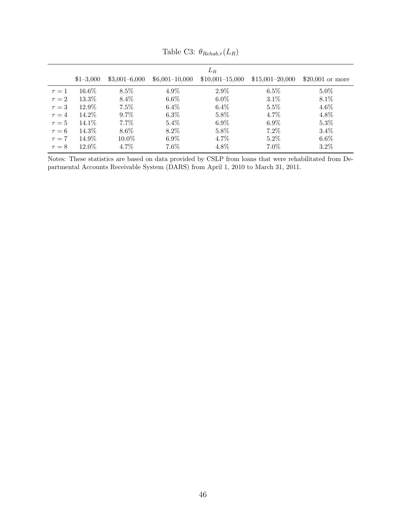<span id="page-47-0"></span>

|            |            |                  |                 | $L_R$            |                  |                   |
|------------|------------|------------------|-----------------|------------------|------------------|-------------------|
|            | $$1-3,000$ | $$3,001 - 6,000$ | $$6,001-10,000$ | $$10,001-15,000$ | $$15,001-20,000$ | $$20,001$ or more |
| $\tau=1$   | $16.6\%$   | 8.5%             | 4.9%            | 2.9%             | $6.5\%$          | 5.0%              |
| $\tau = 2$ | 13.3%      | 8.4%             | $6.6\%$         | $6.0\%$          | $3.1\%$          | 8.1%              |
| $\tau = 3$ | 12.9%      | $7.5\%$          | $6.4\%$         | $6.4\%$          | $5.5\%$          | $4.6\%$           |
| $\tau = 4$ | 14.2%      | $9.7\%$          | $6.3\%$         | 5.8%             | 4.7%             | 4.8%              |
| $\tau = 5$ | 14.1\%     | $7.7\%$          | $5.4\%$         | $6.9\%$          | $6.9\%$          | $5.3\%$           |
| $\tau = 6$ | 14.3%      | 8.6%             | 8.2%            | 5.8%             | $7.2\%$          | $3.4\%$           |
| $\tau = 7$ | 14.9%      | 10.0%            | $6.9\%$         | 4.7%             | $5.2\%$          | $6.6\%$           |
| $\tau = 8$ | 12.0%      | $4.7\%$          | 7.6%            | 4.8%             | $7.0\%$          | $3.2\%$           |
|            |            |                  |                 |                  |                  |                   |

Table C3:  $\theta_{Rehab,\tau}(L_R)$ 

Notes: These statistics are based on data provided by CSLP from loans that were rehabilitated from Departmental Accounts Receivable System (DARS) from April 1, 2010 to March 31, 2011.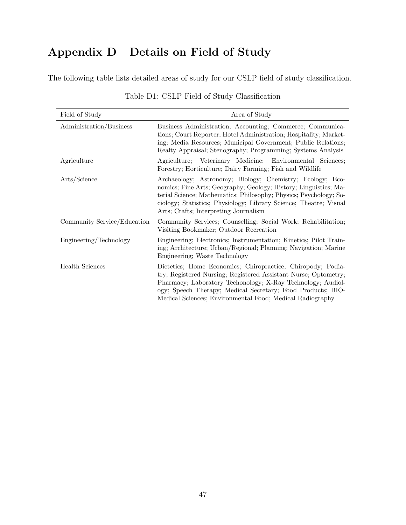# <span id="page-48-0"></span>Appendix D Details on Field of Study

The following table lists detailed areas of study for our CSLP field of study classification.

| Field of Study              | Area of Study                                                                                                                                                                                                                                                                                                             |
|-----------------------------|---------------------------------------------------------------------------------------------------------------------------------------------------------------------------------------------------------------------------------------------------------------------------------------------------------------------------|
| Administration/Business     | Business Administration; Accounting; Commerce; Communica-<br>tions; Court Reporter; Hotel Administration; Hospitality; Market-<br>ing; Media Resources; Municipal Government; Public Relations;<br>Realty Appraisal; Stenography; Programming; Systems Analysis                                                           |
| Agriculture                 | Agriculture; Veterinary Medicine; Environmental Sciences;<br>Forestry; Horticulture; Dairy Farming; Fish and Wildlife                                                                                                                                                                                                     |
| Arts/Science                | Archaeology; Astronomy; Biology; Chemistry; Ecology; Eco-<br>nomics; Fine Arts; Geography; Geology; History; Linguistics; Ma-<br>terial Science; Mathematics; Philosophy; Physics; Psychology; So-<br>ciology; Statistics; Physiology; Library Science; Theatre; Visual<br>Arts; Crafts; Interpreting Journalism          |
| Community Service/Education | Community Services; Counselling; Social Work; Rehabilitation;<br>Visiting Bookmaker; Outdoor Recreation                                                                                                                                                                                                                   |
| Engineering/Technology      | Engineering; Electronics; Instrumentation; Kinetics; Pilot Train-<br>ing; Architecture; Urban/Regional; Planning; Navigation; Marine<br>Engineering; Waste Technology                                                                                                                                                     |
| Health Sciences             | Dietetics; Home Economics; Chiropractice; Chiropody; Podia-<br>try; Registered Nursing; Registered Assistant Nurse; Optometry;<br>Pharmacy; Laboratory Techonology; X-Ray Technology; Audiol-<br>ogy; Speech Therapy; Medical Secretary; Food Products; BIO-<br>Medical Sciences; Environmental Food; Medical Radiography |

### Table D1: CSLP Field of Study Classification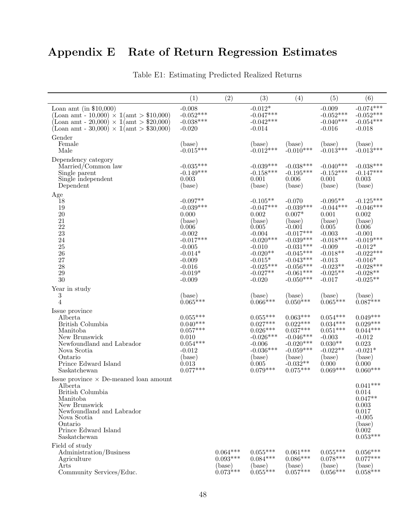# <span id="page-49-0"></span>Appendix E Rate of Return Regression Estimates

|                                                                                                                                                                                                          | (1)                                                                                                                                                        | (2)                                                       | (3)                                                                                                                                                              | (4)                                                                                                                                                                               | (5)                                                                                                                                                                | (6)                                                                                                                                                                   |
|----------------------------------------------------------------------------------------------------------------------------------------------------------------------------------------------------------|------------------------------------------------------------------------------------------------------------------------------------------------------------|-----------------------------------------------------------|------------------------------------------------------------------------------------------------------------------------------------------------------------------|-----------------------------------------------------------------------------------------------------------------------------------------------------------------------------------|--------------------------------------------------------------------------------------------------------------------------------------------------------------------|-----------------------------------------------------------------------------------------------------------------------------------------------------------------------|
| Loan amt (in $$10,000$ )<br>(Loan amt - 10,000) $\times$ 1(amt > \$10,000)<br>(Loan amt - 20,000) $\times$ 1(amt $>$ \$20,000)<br>(Loan amt - 30,000) $\times$ 1(amt > \$30,000)                         | $-0.008$<br>$-0.052***$<br>$-0.038***$<br>$-0.020$                                                                                                         |                                                           | $-0.012*$<br>$-0.047***$<br>$-0.042***$<br>$-0.014$                                                                                                              |                                                                                                                                                                                   | $-0.009$<br>$-0.052***$<br>$-0.040***$<br>$-0.016$                                                                                                                 | $-0.074***$<br>$-0.052***$<br>$-0.054***$<br>$-0.018$                                                                                                                 |
| Gender<br>Female<br>Male                                                                                                                                                                                 | $_{\rm (base)}$<br>$-0.015***$                                                                                                                             |                                                           | (base)<br>$-0.012***$                                                                                                                                            | $_{\rm (base)}$<br>$-0.010***$                                                                                                                                                    | $_{\rm (base)}$<br>$-0.013***$                                                                                                                                     | $_{\rm (base)}$<br>$-0.013***$                                                                                                                                        |
| Dependency category<br>Married/Common law<br>Single parent<br>Single independent<br>Dependent                                                                                                            | $-0.035***$<br>$-0.149***$<br>0.003<br>$_{\rm (base)}$                                                                                                     |                                                           | $-0.039***$<br>$-0.158***$<br>0.001<br>$_{\rm (base)}$                                                                                                           | $-0.038***$<br>$-0.195***$<br>0.006<br>$_{\rm (base)}$                                                                                                                            | $-0.040***$<br>$-0.152***$<br>0.001<br>(base)                                                                                                                      | $-0.038***$<br>$-0.147***$<br>0.003<br>$_{\rm (base)}$                                                                                                                |
| Age<br>18<br>19<br>20<br>21<br>22<br>23<br>24<br>25<br>26<br>27<br>28<br>29<br>30                                                                                                                        | $-0.097**$<br>$-0.039***$<br>0.000<br>(base)<br>0.006<br>$-0.002$<br>$-0.017***$<br>$-0.005$<br>$-0.014*$<br>$-0.009$<br>$-0.016$<br>$-0.019*$<br>$-0.009$ |                                                           | $-0.105**$<br>$-0.047***$<br>0.002<br>(base)<br>0.005<br>$-0.004$<br>$-0.020***$<br>$-0.010$<br>$-0.020**$<br>$-0.015*$<br>$-0.025***$<br>$-0.027**$<br>$-0.020$ | $-0.070$<br>$-0.039***$<br>$0.007*$<br>(base)<br>$-0.001$<br>$-0.017***$<br>$-0.039***$<br>$-0.031***$<br>$-0.045***$<br>$-0.043***$<br>$-0.056***$<br>$-0.061***$<br>$-0.050***$ | $-0.095**$<br>$-0.044***$<br>0.001<br>$_{0.005}^{(base)}$<br>$-0.003$<br>$-0.018***$<br>$-0.009$<br>$-0.018**$<br>$-0.013$<br>$-0.023**$<br>$-0.025**$<br>$-0.017$ | $-0.125***$<br>$-0.046***$<br>0.002<br>(base)<br>0.006<br>$-0.001$<br>$-0.019***$<br>$-0.012*$<br>$-0.022***$<br>$-0.016*$<br>$-0.028***$<br>$-0.028**$<br>$-0.025**$ |
| Year in study<br>$\sqrt{3}$<br>$\overline{4}$                                                                                                                                                            | $_{\rm (base)}$<br>$0.065***$                                                                                                                              |                                                           | $_{\rm (base)}$<br>$0.066***$                                                                                                                                    | (base)<br>$0.050***$                                                                                                                                                              | $_{\rm (base)}$<br>$0.065***$                                                                                                                                      | $_{\rm (base)}$<br>$0.087***$                                                                                                                                         |
| Issue province<br>Alberta<br>British Columbia<br>Manitoba<br>New Brunswick<br>Newfoundland and Labrador<br>Nova Scotia<br>Ontario<br>Prince Edward Island<br>Saskatchewan                                | $0.055***$<br>$0.040***$<br>$0.057***$<br>0.010<br>$0.054***$<br>$-0.012$<br>$_{\rm (base)}$<br>0.013<br>$0.077***$                                        |                                                           | $0.055***$<br>$0.027***$<br>$0.026***$<br>$-0.026***$<br>$-0.006$<br>$-0.036***$<br>$_{\rm (base)}$<br>0.005<br>$0.079***$                                       | $0.063***$<br>$0.022***$<br>$0.037***$<br>$-0.046***$<br>$-0.020***$<br>$-0.059***$<br>$_{\rm (base)}$<br>$-0.032**$<br>$0.075***$                                                | $0.054***$<br>$0.034***$<br>$0.051***$<br>$-0.003$<br>$0.030**$<br>$-0.022**$<br>$_{\rm (base)}$<br>0.000<br>$0.069***$                                            | $0.049***$<br>$0.029***$<br>$0.044***$<br>$-0.012$<br>0.023<br>$-0.021*$<br>(base)<br>0.000<br>$0.060***$                                                             |
| Issue province $\times$ De-meaned loan amount<br>Alberta<br>British Columbia<br>Manitoba<br>New Brunswick<br>Newfoundland and Labrador<br>Nova Scotia<br>Ontario<br>Prince Edward Island<br>Saskatchewan |                                                                                                                                                            |                                                           |                                                                                                                                                                  |                                                                                                                                                                                   |                                                                                                                                                                    | $0.041***$<br>0.014<br>$0.047**$<br>0.003<br>0.017<br>$-0.005$<br>$_{\rm (base)}$<br>0.002<br>$0.053***$                                                              |
| Field of study<br>Administration/Business<br>Agriculture<br>Arts<br>Community Services/Educ.                                                                                                             |                                                                                                                                                            | $0.064***$<br>$0.093***$<br>$_{\rm (base)}$<br>$0.073***$ | $0.055***$<br>$0.084***$<br>$_{\rm (base)}$<br>$0.055***$                                                                                                        | $0.061***$<br>$0.086***$<br>$_{\rm (base)}$<br>$0.057***$                                                                                                                         | $0.055***$<br>$0.078***$<br>$_{\rm (base)}$<br>$0.056***$                                                                                                          | $0.056***$<br>$0.077***$<br>$_{\rm (base)}$<br>$0.058^{***}$                                                                                                          |

Table E1: Estimating Predicted Realized Returns